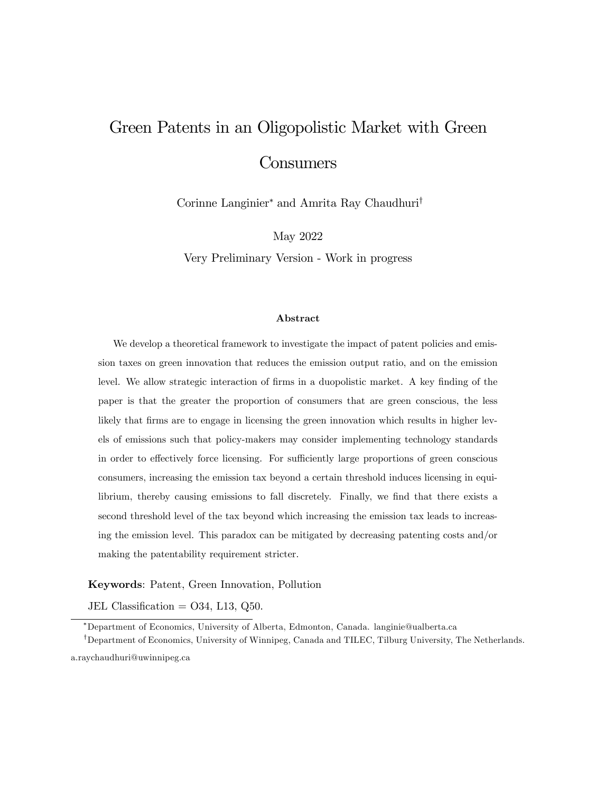# Green Patents in an Oligopolistic Market with Green **Consumers**

Corinne Langinier<sup>\*</sup> and Amrita Ray Chaudhuri<sup>†</sup>

May 2022

Very Preliminary Version - Work in progress

#### Abstract

We develop a theoretical framework to investigate the impact of patent policies and emission taxes on green innovation that reduces the emission output ratio, and on the emission level. We allow strategic interaction of firms in a duopolistic market. A key finding of the paper is that the greater the proportion of consumers that are green conscious, the less likely that firms are to engage in licensing the green innovation which results in higher levels of emissions such that policy-makers may consider implementing technology standards in order to effectively force licensing. For sufficiently large proportions of green conscious consumers, increasing the emission tax beyond a certain threshold induces licensing in equilibrium, thereby causing emissions to fall discretely. Finally, we find that there exists a second threshold level of the tax beyond which increasing the emission tax leads to increasing the emission level. This paradox can be mitigated by decreasing patenting costs and/or making the patentability requirement stricter.

Keywords: Patent, Green Innovation, Pollution

JEL Classification =  $O34$ , L13, Q50.

Department of Economics, University of Alberta, Edmonton, Canada. langinie@ualberta.ca

<sup>&</sup>lt;sup>†</sup>Department of Economics, University of Winnipeg, Canada and TILEC, Tilburg University, The Netherlands. a.raychaudhuri@uwinnipeg.ca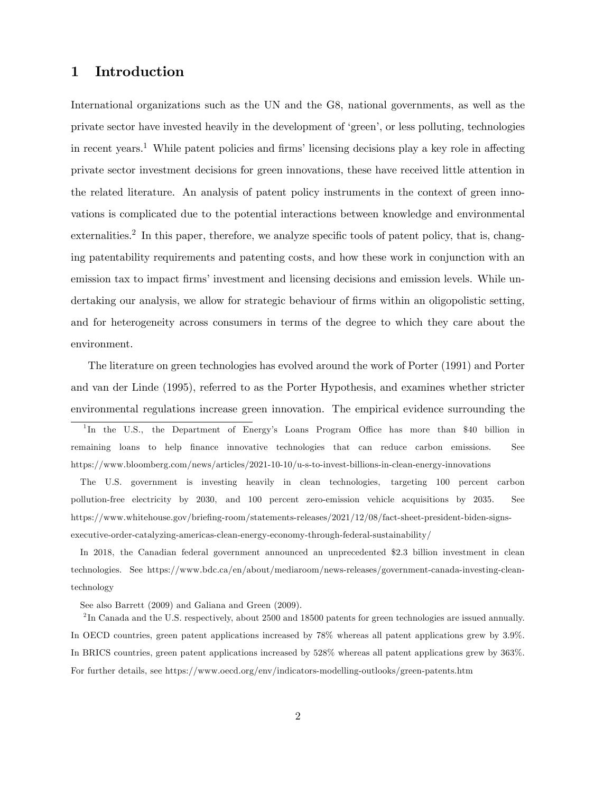# 1 Introduction

International organizations such as the UN and the G8, national governments, as well as the private sector have invested heavily in the development of ëgreení, or less polluting, technologies in recent years.<sup>1</sup> While patent policies and firms' licensing decisions play a key role in affecting private sector investment decisions for green innovations, these have received little attention in the related literature. An analysis of patent policy instruments in the context of green innovations is complicated due to the potential interactions between knowledge and environmental  $externalities.<sup>2</sup>$  In this paper, therefore, we analyze specific tools of patent policy, that is, changing patentability requirements and patenting costs, and how these work in conjunction with an emission tax to impact firms' investment and licensing decisions and emission levels. While undertaking our analysis, we allow for strategic behaviour of firms within an oligopolistic setting, and for heterogeneity across consumers in terms of the degree to which they care about the environment.

The literature on green technologies has evolved around the work of Porter (1991) and Porter and van der Linde (1995), referred to as the Porter Hypothesis, and examines whether stricter environmental regulations increase green innovation. The empirical evidence surrounding the <sup>1</sup>In the U.S., the Department of Energy's Loans Program Office has more than \$40 billion in remaining loans to help finance innovative technologies that can reduce carbon emissions. See https://www.bloomberg.com/news/articles/2021-10-10/u-s-to-invest-billions-in-clean-energy-innovations

The U.S. government is investing heavily in clean technologies, targeting 100 percent carbon pollution-free electricity by 2030, and 100 percent zero-emission vehicle acquisitions by 2035. See https://www.whitehouse.gov/briefing-room/statements-releases/2021/12/08/fact-sheet-president-biden-signsexecutive-order-catalyzing-americas-clean-energy-economy-through-federal-sustainability/

In 2018, the Canadian federal government announced an unprecedented \$2.3 billion investment in clean technologies. See https://www.bdc.ca/en/about/mediaroom/news-releases/government-canada-investing-cleantechnology

See also Barrett (2009) and Galiana and Green (2009).

<sup>2</sup>In Canada and the U.S. respectively, about 2500 and 18500 patents for green technologies are issued annually. In OECD countries, green patent applications increased by 78% whereas all patent applications grew by 3.9%. In BRICS countries, green patent applications increased by 528% whereas all patent applications grew by 363%. For further details, see https://www.oecd.org/env/indicators-modelling-outlooks/green-patents.htm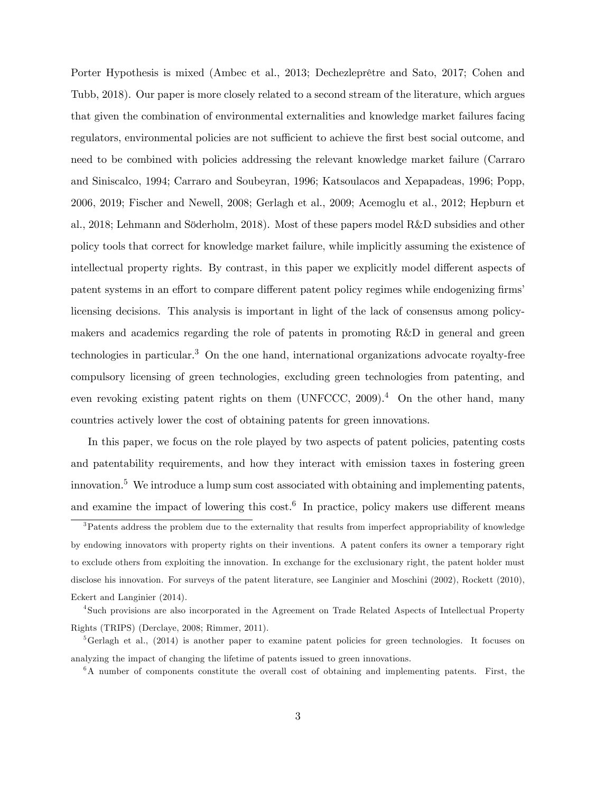Porter Hypothesis is mixed (Ambec et al., 2013; Dechezleprêtre and Sato, 2017; Cohen and Tubb, 2018). Our paper is more closely related to a second stream of the literature, which argues that given the combination of environmental externalities and knowledge market failures facing regulators, environmental policies are not sufficient to achieve the first best social outcome, and need to be combined with policies addressing the relevant knowledge market failure (Carraro and Siniscalco, 1994; Carraro and Soubeyran, 1996; Katsoulacos and Xepapadeas, 1996; Popp, 2006, 2019; Fischer and Newell, 2008; Gerlagh et al., 2009; Acemoglu et al., 2012; Hepburn et al., 2018; Lehmann and Söderholm, 2018). Most of these papers model R&D subsidies and other policy tools that correct for knowledge market failure, while implicitly assuming the existence of intellectual property rights. By contrast, in this paper we explicitly model different aspects of patent systems in an effort to compare different patent policy regimes while endogenizing firms licensing decisions. This analysis is important in light of the lack of consensus among policymakers and academics regarding the role of patents in promoting R&D in general and green technologies in particular.<sup>3</sup> On the one hand, international organizations advocate royalty-free compulsory licensing of green technologies, excluding green technologies from patenting, and even revoking existing patent rights on them (UNFCCC, 2009).<sup>4</sup> On the other hand, many countries actively lower the cost of obtaining patents for green innovations.

In this paper, we focus on the role played by two aspects of patent policies, patenting costs and patentability requirements, and how they interact with emission taxes in fostering green innovation.<sup>5</sup> We introduce a lump sum cost associated with obtaining and implementing patents, and examine the impact of lowering this cost.<sup>6</sup> In practice, policy makers use different means

<sup>&</sup>lt;sup>3</sup>Patents address the problem due to the externality that results from imperfect appropriability of knowledge by endowing innovators with property rights on their inventions. A patent confers its owner a temporary right to exclude others from exploiting the innovation. In exchange for the exclusionary right, the patent holder must disclose his innovation. For surveys of the patent literature, see Langinier and Moschini (2002), Rockett (2010), Eckert and Langinier (2014).

<sup>4</sup> Such provisions are also incorporated in the Agreement on Trade Related Aspects of Intellectual Property Rights (TRIPS) (Derclaye, 2008; Rimmer, 2011).

 $5G$ erlagh et al., (2014) is another paper to examine patent policies for green technologies. It focuses on analyzing the impact of changing the lifetime of patents issued to green innovations.

 $6A$  number of components constitute the overall cost of obtaining and implementing patents. First, the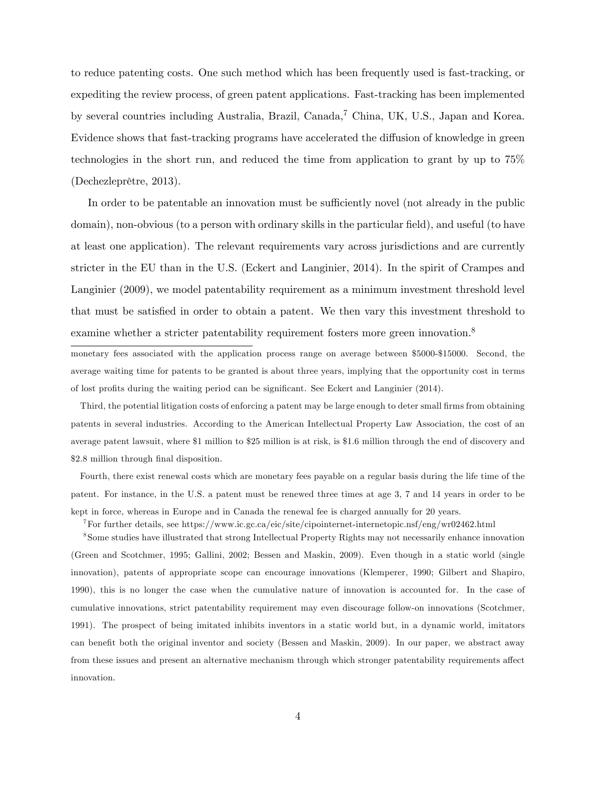to reduce patenting costs. One such method which has been frequently used is fast-tracking, or expediting the review process, of green patent applications. Fast-tracking has been implemented by several countries including Australia, Brazil, Canada,<sup>7</sup> China, UK, U.S., Japan and Korea. Evidence shows that fast-tracking programs have accelerated the diffusion of knowledge in green technologies in the short run, and reduced the time from application to grant by up to 75%  $(Dechezleprêtre, 2013).$ 

In order to be patentable an innovation must be sufficiently novel (not already in the public domain), non-obvious (to a person with ordinary skills in the particular field), and useful (to have at least one application). The relevant requirements vary across jurisdictions and are currently stricter in the EU than in the U.S. (Eckert and Langinier, 2014). In the spirit of Crampes and Langinier (2009), we model patentability requirement as a minimum investment threshold level that must be satisfied in order to obtain a patent. We then vary this investment threshold to examine whether a stricter patentability requirement fosters more green innovation.<sup>8</sup>

monetary fees associated with the application process range on average between \$5000-\$15000. Second, the average waiting time for patents to be granted is about three years, implying that the opportunity cost in terms of lost profits during the waiting period can be significant. See Eckert and Langinier (2014).

Third, the potential litigation costs of enforcing a patent may be large enough to deter small firms from obtaining patents in several industries. According to the American Intellectual Property Law Association, the cost of an average patent lawsuit, where \$1 million to \$25 million is at risk, is \$1.6 million through the end of discovery and \$2.8 million through final disposition.

Fourth, there exist renewal costs which are monetary fees payable on a regular basis during the life time of the patent. For instance, in the U.S. a patent must be renewed three times at age 3, 7 and 14 years in order to be kept in force, whereas in Europe and in Canada the renewal fee is charged annually for 20 years.

<sup>7</sup>For further details, see https://www.ic.gc.ca/eic/site/cipointernet-internetopic.nsf/eng/wr02462.html

8 Some studies have illustrated that strong Intellectual Property Rights may not necessarily enhance innovation (Green and Scotchmer, 1995; Gallini, 2002; Bessen and Maskin, 2009). Even though in a static world (single innovation), patents of appropriate scope can encourage innovations (Klemperer, 1990; Gilbert and Shapiro, 1990), this is no longer the case when the cumulative nature of innovation is accounted for. In the case of cumulative innovations, strict patentability requirement may even discourage follow-on innovations (Scotchmer, 1991). The prospect of being imitated inhibits inventors in a static world but, in a dynamic world, imitators can benefit both the original inventor and society (Bessen and Maskin, 2009). In our paper, we abstract away from these issues and present an alternative mechanism through which stronger patentability requirements affect innovation.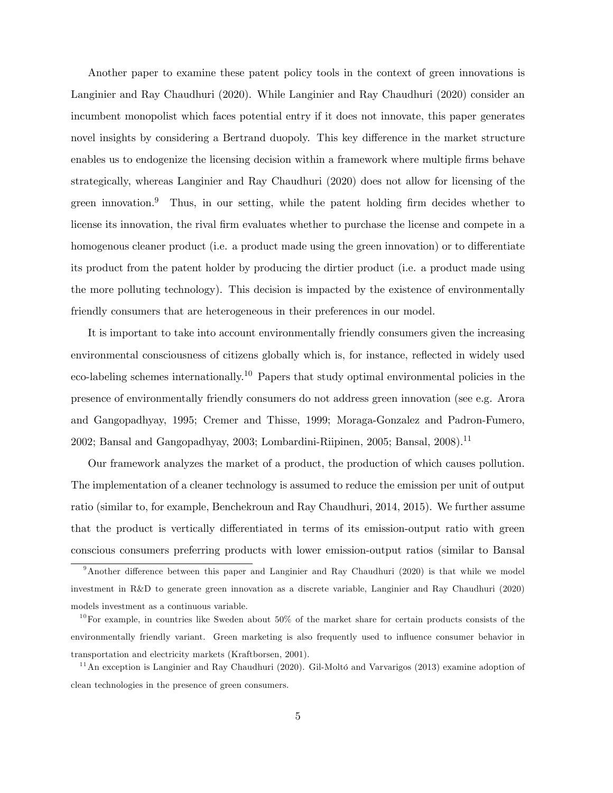Another paper to examine these patent policy tools in the context of green innovations is Langinier and Ray Chaudhuri (2020). While Langinier and Ray Chaudhuri (2020) consider an incumbent monopolist which faces potential entry if it does not innovate, this paper generates novel insights by considering a Bertrand duopoly. This key difference in the market structure enables us to endogenize the licensing decision within a framework where multiple firms behave strategically, whereas Langinier and Ray Chaudhuri (2020) does not allow for licensing of the green innovation.<sup>9</sup> Thus, in our setting, while the patent holding firm decides whether to license its innovation, the rival firm evaluates whether to purchase the license and compete in a homogenous cleaner product (i.e. a product made using the green innovation) or to differentiate its product from the patent holder by producing the dirtier product (i.e. a product made using the more polluting technology). This decision is impacted by the existence of environmentally friendly consumers that are heterogeneous in their preferences in our model.

It is important to take into account environmentally friendly consumers given the increasing environmental consciousness of citizens globally which is, for instance, reflected in widely used eco-labeling schemes internationally.<sup>10</sup> Papers that study optimal environmental policies in the presence of environmentally friendly consumers do not address green innovation (see e.g. Arora and Gangopadhyay, 1995; Cremer and Thisse, 1999; Moraga-Gonzalez and Padron-Fumero, 2002; Bansal and Gangopadhyay, 2003; Lombardini-Riipinen, 2005; Bansal, 2008).<sup>11</sup>

Our framework analyzes the market of a product, the production of which causes pollution. The implementation of a cleaner technology is assumed to reduce the emission per unit of output ratio (similar to, for example, Benchekroun and Ray Chaudhuri, 2014, 2015). We further assume that the product is vertically differentiated in terms of its emission-output ratio with green conscious consumers preferring products with lower emission-output ratios (similar to Bansal

 $9$ Another difference between this paper and Langinier and Ray Chaudhuri (2020) is that while we model investment in R&D to generate green innovation as a discrete variable, Langinier and Ray Chaudhuri (2020) models investment as a continuous variable.

 $10$ For example, in countries like Sweden about  $50\%$  of the market share for certain products consists of the environmentally friendly variant. Green marketing is also frequently used to influence consumer behavior in transportation and electricity markets (Kraftborsen, 2001).

 $11$ An exception is Langinier and Ray Chaudhuri (2020). Gil-Moltó and Varvarigos (2013) examine adoption of clean technologies in the presence of green consumers.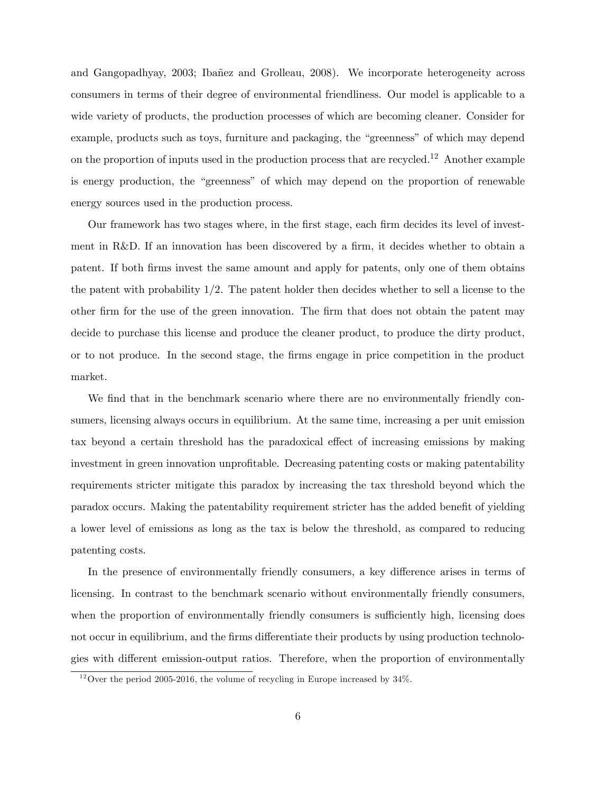and Gangopadhyay, 2003; Ibañez and Grolleau, 2008). We incorporate heterogeneity across consumers in terms of their degree of environmental friendliness. Our model is applicable to a wide variety of products, the production processes of which are becoming cleaner. Consider for example, products such as toys, furniture and packaging, the "greenness" of which may depend on the proportion of inputs used in the production process that are recycled.<sup>12</sup> Another example is energy production, the "greenness" of which may depend on the proportion of renewable energy sources used in the production process.

Our framework has two stages where, in the first stage, each firm decides its level of investment in R&D. If an innovation has been discovered by a firm, it decides whether to obtain a patent. If both Örms invest the same amount and apply for patents, only one of them obtains the patent with probability  $1/2$ . The patent holder then decides whether to sell a license to the other Örm for the use of the green innovation. The Örm that does not obtain the patent may decide to purchase this license and produce the cleaner product, to produce the dirty product, or to not produce. In the second stage, the Örms engage in price competition in the product market.

We find that in the benchmark scenario where there are no environmentally friendly consumers, licensing always occurs in equilibrium. At the same time, increasing a per unit emission tax beyond a certain threshold has the paradoxical effect of increasing emissions by making investment in green innovation unprofitable. Decreasing patenting costs or making patentability requirements stricter mitigate this paradox by increasing the tax threshold beyond which the paradox occurs. Making the patentability requirement stricter has the added benefit of yielding a lower level of emissions as long as the tax is below the threshold, as compared to reducing patenting costs.

In the presence of environmentally friendly consumers, a key difference arises in terms of licensing. In contrast to the benchmark scenario without environmentally friendly consumers, when the proportion of environmentally friendly consumers is sufficiently high, licensing does not occur in equilibrium, and the firms differentiate their products by using production technologies with different emission-output ratios. Therefore, when the proportion of environmentally

 $12$ Over the period 2005-2016, the volume of recycling in Europe increased by 34%.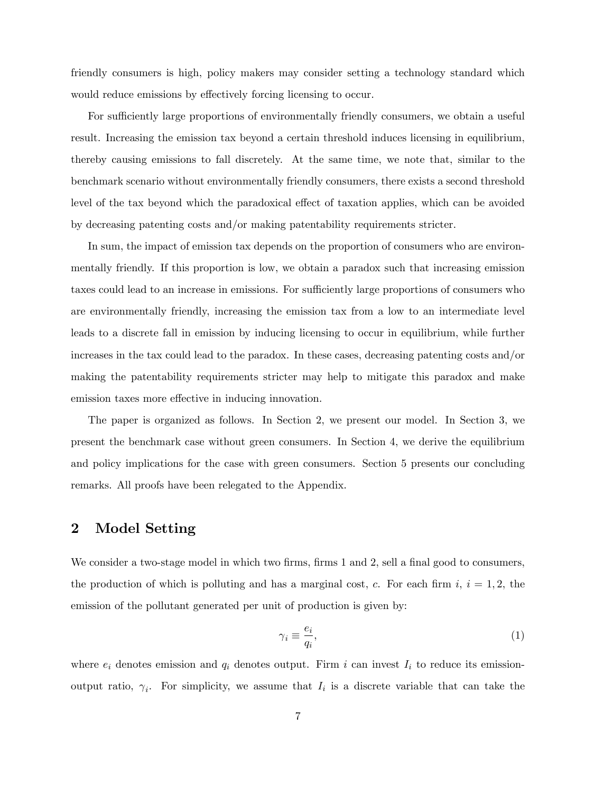friendly consumers is high, policy makers may consider setting a technology standard which would reduce emissions by effectively forcing licensing to occur.

For sufficiently large proportions of environmentally friendly consumers, we obtain a useful result. Increasing the emission tax beyond a certain threshold induces licensing in equilibrium, thereby causing emissions to fall discretely. At the same time, we note that, similar to the benchmark scenario without environmentally friendly consumers, there exists a second threshold level of the tax beyond which the paradoxical effect of taxation applies, which can be avoided by decreasing patenting costs and/or making patentability requirements stricter.

In sum, the impact of emission tax depends on the proportion of consumers who are environmentally friendly. If this proportion is low, we obtain a paradox such that increasing emission taxes could lead to an increase in emissions. For sufficiently large proportions of consumers who are environmentally friendly, increasing the emission tax from a low to an intermediate level leads to a discrete fall in emission by inducing licensing to occur in equilibrium, while further increases in the tax could lead to the paradox. In these cases, decreasing patenting costs and/or making the patentability requirements stricter may help to mitigate this paradox and make emission taxes more effective in inducing innovation.

The paper is organized as follows. In Section 2, we present our model. In Section 3, we present the benchmark case without green consumers. In Section 4, we derive the equilibrium and policy implications for the case with green consumers. Section 5 presents our concluding remarks. All proofs have been relegated to the Appendix.

## 2 Model Setting

We consider a two-stage model in which two firms, firms 1 and 2, sell a final good to consumers, the production of which is polluting and has a marginal cost, c. For each firm  $i, i = 1, 2$ , the emission of the pollutant generated per unit of production is given by:

$$
\gamma_i \equiv \frac{e_i}{q_i},\tag{1}
$$

where  $e_i$  denotes emission and  $q_i$  denotes output. Firm i can invest  $I_i$  to reduce its emissionoutput ratio,  $\gamma_i$ . For simplicity, we assume that  $I_i$  is a discrete variable that can take the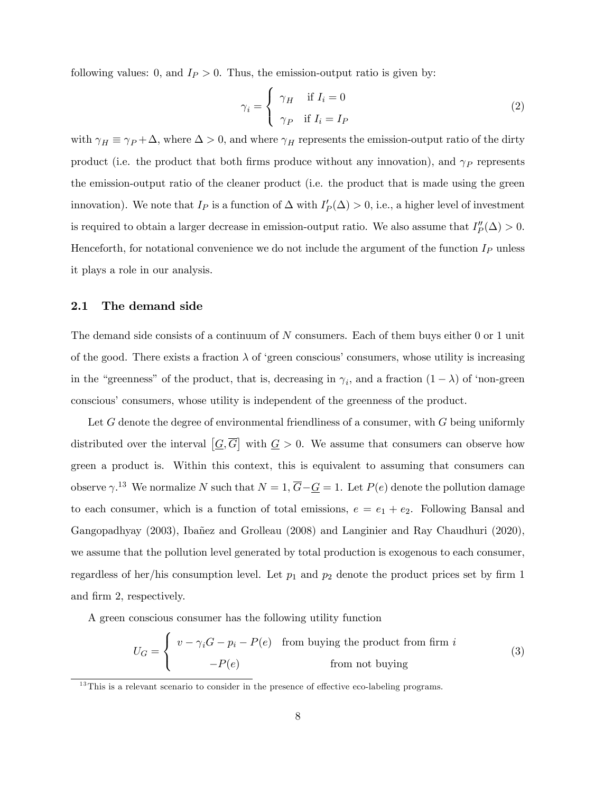following values: 0, and  $I_P > 0$ . Thus, the emission-output ratio is given by:

$$
\gamma_i = \begin{cases} \gamma_H & \text{if } I_i = 0 \\ \gamma_P & \text{if } I_i = I_P \end{cases}
$$
 (2)

with  $\gamma_H \equiv \gamma_P + \Delta$ , where  $\Delta > 0$ , and where  $\gamma_H$  represents the emission-output ratio of the dirty product (i.e. the product that both firms produce without any innovation), and  $\gamma_P$  represents the emission-output ratio of the cleaner product (i.e. the product that is made using the green innovation). We note that  $I_P$  is a function of  $\Delta$  with  $I'_P(\Delta) > 0$ , i.e., a higher level of investment is required to obtain a larger decrease in emission-output ratio. We also assume that  $I''_P(\Delta) > 0$ . Henceforth, for notational convenience we do not include the argument of the function  $I_P$  unless it plays a role in our analysis.

#### 2.1 The demand side

The demand side consists of a continuum of N consumers. Each of them buys either 0 or 1 unit of the good. There exists a fraction  $\lambda$  of 'green conscious' consumers, whose utility is increasing in the "greenness" of the product, that is, decreasing in  $\gamma_i$ , and a fraction  $(1 - \lambda)$  of 'non-green conscious' consumers, whose utility is independent of the greenness of the product.

Let G denote the degree of environmental friendliness of a consumer, with G being uniformly distributed over the interval  $[G,\overline{G}]$  with  $G > 0$ . We assume that consumers can observe how green a product is. Within this context, this is equivalent to assuming that consumers can observe  $\gamma$ .<sup>13</sup> We normalize N such that  $N = 1$ ,  $\overline{G} - \underline{G} = 1$ . Let  $P(e)$  denote the pollution damage to each consumer, which is a function of total emissions,  $e = e_1 + e_2$ . Following Bansal and Gangopadhyay (2003), Ibañez and Grolleau (2008) and Langinier and Ray Chaudhuri (2020), we assume that the pollution level generated by total production is exogenous to each consumer, regardless of her/his consumption level. Let  $p_1$  and  $p_2$  denote the product prices set by firm 1 and firm 2, respectively.

A green conscious consumer has the following utility function

$$
U_G = \begin{cases} v - \gamma_i G - p_i - P(e) & \text{from buying the product from firm } i \\ -P(e) & \text{from not buying} \end{cases} \tag{3}
$$

 $13$ This is a relevant scenario to consider in the presence of effective eco-labeling programs.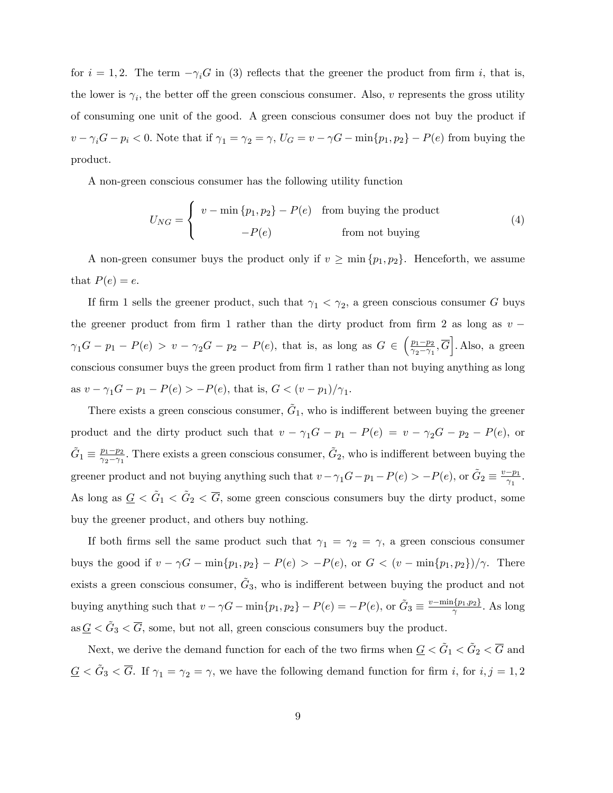for  $i = 1, 2$ . The term  $-\gamma_i G$  in (3) reflects that the greener the product from firm i, that is, the lower is  $\gamma_i$ , the better off the green conscious consumer. Also, v represents the gross utility of consuming one unit of the good. A green conscious consumer does not buy the product if  $v - \gamma_i G - p_i < 0$ . Note that if  $\gamma_1 = \gamma_2 = \gamma$ ,  $U_G = v - \gamma G - \min\{p_1, p_2\} - P(e)$  from buying the product.

A non-green conscious consumer has the following utility function

$$
U_{NG} = \begin{cases} v - \min\{p_1, p_2\} - P(e) & \text{from buying the product} \\ -P(e) & \text{from not buying} \end{cases}
$$
 (4)

A non-green consumer buys the product only if  $v \ge \min \{p_1, p_2\}$ . Henceforth, we assume that  $P(e) = e$ .

If firm 1 sells the greener product, such that  $\gamma_1 < \gamma_2$ , a green conscious consumer G buys the greener product from firm 1 rather than the dirty product from firm 2 as long as  $v \gamma_1 G - p_1 - P(e) > v - \gamma_2 G - p_2 - P(e)$ , that is, as long as  $G \in \left( \frac{p_1 - p_2}{\gamma_2 - \gamma_1} \right)$  $\frac{p_1-p_2}{\gamma_2-\gamma_1}, \overline{G}$ . Also, a green conscious consumer buys the green product from firm 1 rather than not buying anything as long as  $v - \gamma_1 G - p_1 - P(e) > -P(e)$ , that is,  $G < (v - p_1) / \gamma_1$ .

There exists a green conscious consumer,  $\tilde{G}_1$ , who is indifferent between buying the greener product and the dirty product such that  $v - \gamma_1 G - p_1 - P(e) = v - \gamma_2 G - p_2 - P(e)$ , or  $\tilde{G}_1 \equiv \frac{p_1 - p_2}{\gamma_2 - \gamma_1}$  $\frac{p_1-p_2}{\gamma_2-\gamma_1}$ . There exists a green conscious consumer,  $\tilde{G}_2$ , who is indifferent between buying the greener product and not buying anything such that  $v - \gamma_1 G - p_1 - P(e) > -P(e)$ , or  $\tilde{G}_2 \equiv \frac{v - p_1}{\gamma_1}$ . As long as  $\underline{G} < \tilde{G}_1 < \tilde{G}_2 < \overline{G}$ , some green conscious consumers buy the dirty product, some buy the greener product, and others buy nothing.

If both firms sell the same product such that  $\gamma_1 = \gamma_2 = \gamma$ , a green conscious consumer buys the good if  $v - \gamma G - \min\{p_1, p_2\} - P(e) > -P(e)$ , or  $G < (v - \min\{p_1, p_2\})/\gamma$ . There exists a green conscious consumer,  $\tilde{G}_3$ , who is indifferent between buying the product and not buying anything such that  $v - \gamma G - \min\{p_1, p_2\} - P(e) = -P(e)$ , or  $\tilde{G}_3 \equiv \frac{v - \min\{p_1, p_2\}}{\gamma}$ . As long as  $\underline{G} < \tilde{G}_3 < \overline{G}$ , some, but not all, green conscious consumers buy the product.

Next, we derive the demand function for each of the two firms when  $\underline{G} < \tilde{G}_1 < \tilde{G}_2 < \overline{G}$  and  $\underline{G} < \tilde{G}_3 < \overline{G}$ . If  $\gamma_1 = \gamma_2 = \gamma$ , we have the following demand function for firm i, for  $i, j = 1, 2$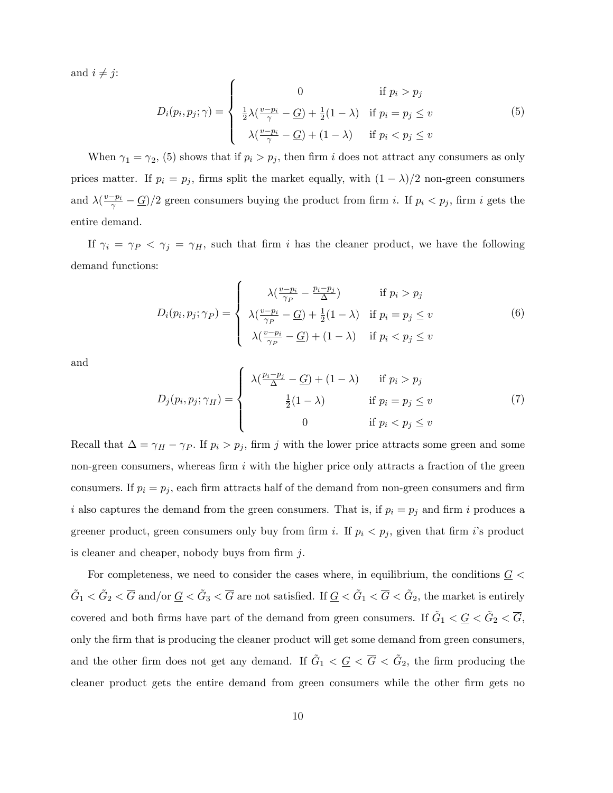and  $i \neq j$ :

$$
D_i(p_i, p_j; \gamma) = \begin{cases} 0 & \text{if } p_i > p_j \\ \frac{1}{2}\lambda(\frac{v - p_i}{\gamma} - \underline{G}) + \frac{1}{2}(1 - \lambda) & \text{if } p_i = p_j \le v \\ \lambda(\frac{v - p_i}{\gamma} - \underline{G}) + (1 - \lambda) & \text{if } p_i < p_j \le v \end{cases}
$$
(5)

When  $\gamma_1 = \gamma_2$ , (5) shows that if  $p_i > p_j$ , then firm i does not attract any consumers as only prices matter. If  $p_i = p_j$ , firms split the market equally, with  $(1 - \lambda)/2$  non-green consumers and  $\lambda(\frac{v-p_i}{\gamma}-\underline{G})/2$  green consumers buying the product from firm i. If  $p_i < p_j$ , firm i gets the entire demand.

If  $\gamma_i = \gamma_P \langle \gamma_j = \gamma_H$ , such that firm i has the cleaner product, we have the following demand functions:

$$
D_i(p_i, p_j; \gamma_P) = \begin{cases} \lambda(\frac{v - p_i}{\gamma_P} - \frac{p_i - p_j}{\Delta}) & \text{if } p_i > p_j \\ \lambda(\frac{v - p_i}{\gamma_P} - \underline{G}) + \frac{1}{2}(1 - \lambda) & \text{if } p_i = p_j \le v \\ \lambda(\frac{v - p_i}{\gamma_P} - \underline{G}) + (1 - \lambda) & \text{if } p_i < p_j \le v \end{cases}
$$
(6)

and

$$
D_j(p_i, p_j; \gamma_H) = \begin{cases} \lambda(\frac{p_i - p_j}{\Delta} - \underline{G}) + (1 - \lambda) & \text{if } p_i > p_j \\ \frac{1}{2}(1 - \lambda) & \text{if } p_i = p_j \le v \\ 0 & \text{if } p_i < p_j \le v \end{cases}
$$
(7)

Recall that  $\Delta = \gamma_H - \gamma_P$ . If  $p_i > p_j$ , firm j with the lower price attracts some green and some non-green consumers, whereas firm  $i$  with the higher price only attracts a fraction of the green consumers. If  $p_i = p_j$ , each firm attracts half of the demand from non-green consumers and firm i also captures the demand from the green consumers. That is, if  $p_i = p_j$  and firm i produces a greener product, green consumers only buy from firm i. If  $p_i < p_j$ , given that firm is product is cleaner and cheaper, nobody buys from firm  $j$ .

For completeness, we need to consider the cases where, in equilibrium, the conditions  $\underline{G}$  <  $\tilde{G}_1 < \tilde{G}_2 < \overline{G}$  and/or  $\underline{G} < \tilde{G}_3 < \overline{G}$  are not satisfied. If  $\underline{G} < \tilde{G}_1 < \overline{G} < \tilde{G}_2$ , the market is entirely covered and both firms have part of the demand from green consumers. If  $\tilde{G}_1 < \underline{G} < \tilde{G}_2 < \overline{G}$ , only the Örm that is producing the cleaner product will get some demand from green consumers, and the other firm does not get any demand. If  $\tilde{G}_1 < \underline{G} < \overline{G} < \tilde{G}_2$ , the firm producing the cleaner product gets the entire demand from green consumers while the other firm gets no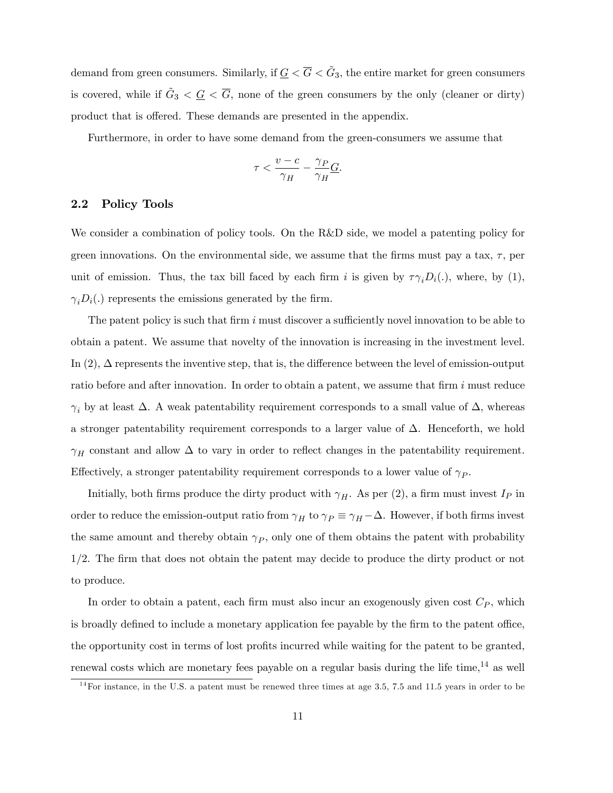demand from green consumers. Similarly, if  $\underline{G} < \overline{G} < \tilde{G}_3$ , the entire market for green consumers is covered, while if  $\tilde{G}_3 < \underline{G} < \overline{G}$ , none of the green consumers by the only (cleaner or dirty) product that is offered. These demands are presented in the appendix.

Furthermore, in order to have some demand from the green-consumers we assume that

$$
\tau < \frac{v-c}{\gamma_H} - \frac{\gamma_P}{\gamma_H} \underline{G}.
$$

#### 2.2 Policy Tools

We consider a combination of policy tools. On the R&D side, we model a patenting policy for green innovations. On the environmental side, we assume that the firms must pay a tax,  $\tau$ , per unit of emission. Thus, the tax bill faced by each firm i is given by  $\tau \gamma_i D_i(.)$ , where, by (1),  $\gamma_iD_i(.)$  represents the emissions generated by the firm.

The patent policy is such that firm i must discover a sufficiently novel innovation to be able to obtain a patent. We assume that novelty of the innovation is increasing in the investment level. In  $(2)$ ,  $\Delta$  represents the inventive step, that is, the difference between the level of emission-output ratio before and after innovation. In order to obtain a patent, we assume that firm  $i$  must reduce  $\gamma_i$  by at least  $\Delta$ . A weak patentability requirement corresponds to a small value of  $\Delta$ , whereas a stronger patentability requirement corresponds to a larger value of  $\Delta$ . Henceforth, we hold  $\gamma_H$  constant and allow  $\Delta$  to vary in order to reflect changes in the patentability requirement. Effectively, a stronger patentability requirement corresponds to a lower value of  $\gamma_P$ .

Initially, both firms produce the dirty product with  $\gamma_H$ . As per (2), a firm must invest  $I_P$  in order to reduce the emission-output ratio from  $\gamma_H$  to  $\gamma_P \equiv \gamma_H - \Delta$ . However, if both firms invest the same amount and thereby obtain  $\gamma_P$ , only one of them obtains the patent with probability 1/2. The firm that does not obtain the patent may decide to produce the dirty product or not to produce.

In order to obtain a patent, each firm must also incur an exogenously given cost  $C_P$ , which is broadly defined to include a monetary application fee payable by the firm to the patent office, the opportunity cost in terms of lost profits incurred while waiting for the patent to be granted, renewal costs which are monetary fees payable on a regular basis during the life time,  $^{14}$  as well

 $14$ For instance, in the U.S. a patent must be renewed three times at age 3.5, 7.5 and 11.5 years in order to be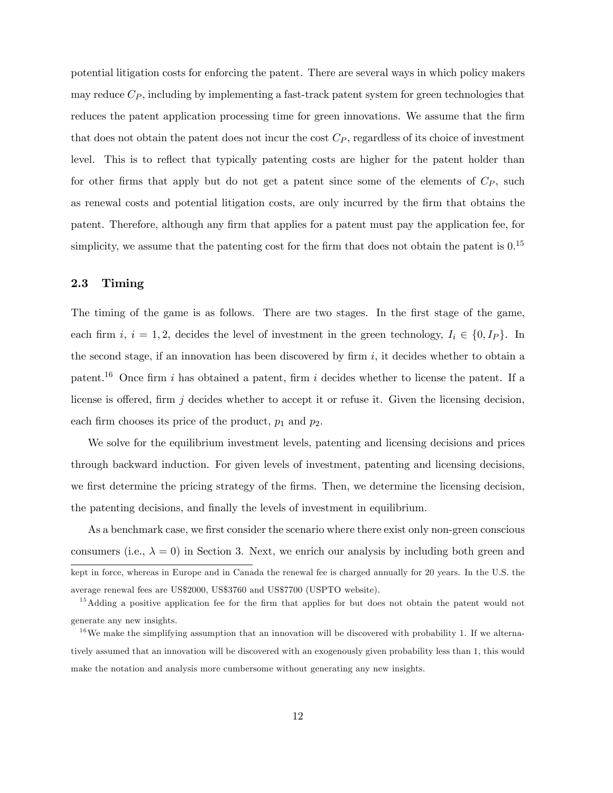potential litigation costs for enforcing the patent. There are several ways in which policy makers may reduce  $C_P$ , including by implementing a fast-track patent system for green technologies that reduces the patent application processing time for green innovations. We assume that the firm that does not obtain the patent does not incur the cost  $C_P$ , regardless of its choice of investment level. This is to reflect that typically patenting costs are higher for the patent holder than for other firms that apply but do not get a patent since some of the elements of  $C_P$ , such as renewal costs and potential litigation costs, are only incurred by the firm that obtains the patent. Therefore, although any firm that applies for a patent must pay the application fee, for simplicity, we assume that the patenting cost for the firm that does not obtain the patent is  $0.15$ 

## 2.3 Timing

The timing of the game is as follows. There are two stages. In the first stage of the game, each firm i,  $i = 1, 2$ , decides the level of investment in the green technology,  $I_i \in \{0, I_P\}$ . In the second stage, if an innovation has been discovered by firm  $i$ , it decides whether to obtain a patent.<sup>16</sup> Once firm i has obtained a patent, firm i decides whether to license the patent. If a license is offered, firm j decides whether to accept it or refuse it. Given the licensing decision, each firm chooses its price of the product,  $p_1$  and  $p_2$ .

We solve for the equilibrium investment levels, patenting and licensing decisions and prices through backward induction. For given levels of investment, patenting and licensing decisions, we first determine the pricing strategy of the firms. Then, we determine the licensing decision, the patenting decisions, and finally the levels of investment in equilibrium.

As a benchmark case, we first consider the scenario where there exist only non-green conscious consumers (i.e.,  $\lambda = 0$ ) in Section 3. Next, we enrich our analysis by including both green and kept in force, whereas in Europe and in Canada the renewal fee is charged annually for 20 years. In the U.S. the average renewal fees are US\$2000, US\$3760 and US\$7700 (USPTO website).

<sup>&</sup>lt;sup>15</sup>Adding a positive application fee for the firm that applies for but does not obtain the patent would not generate any new insights.

<sup>&</sup>lt;sup>16</sup>We make the simplifying assumption that an innovation will be discovered with probability 1. If we alternatively assumed that an innovation will be discovered with an exogenously given probability less than 1, this would make the notation and analysis more cumbersome without generating any new insights.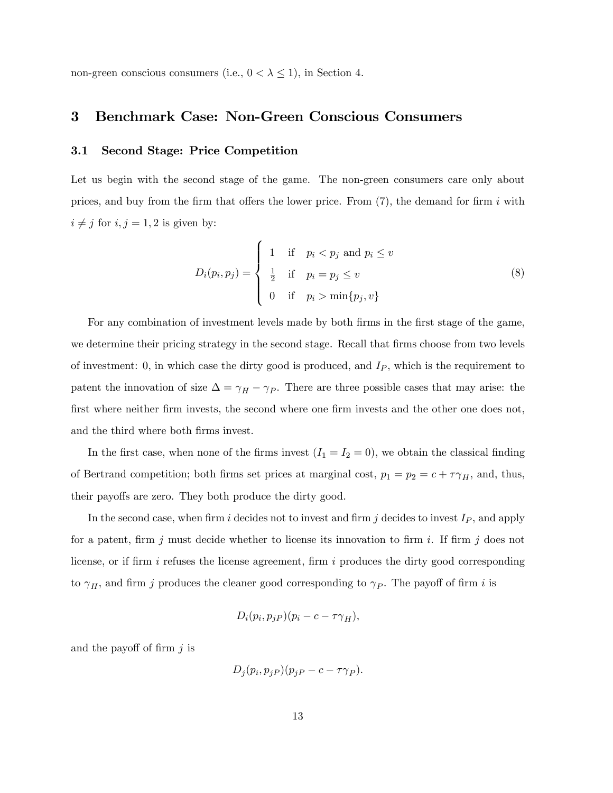non-green conscious consumers (i.e.,  $0 < \lambda \leq 1$ ), in Section 4.

## 3 Benchmark Case: Non-Green Conscious Consumers

## 3.1 Second Stage: Price Competition

Let us begin with the second stage of the game. The non-green consumers care only about prices, and buy from the firm that offers the lower price. From  $(7)$ , the demand for firm i with  $i \neq j$  for  $i, j = 1, 2$  is given by:

$$
D_i(p_i, p_j) = \begin{cases} 1 & \text{if } p_i < p_j \text{ and } p_i \le v \\ \frac{1}{2} & \text{if } p_i = p_j \le v \\ 0 & \text{if } p_i > \min\{p_j, v\} \end{cases}
$$
 (8)

For any combination of investment levels made by both firms in the first stage of the game, we determine their pricing strategy in the second stage. Recall that firms choose from two levels of investment: 0, in which case the dirty good is produced, and  $I_P$ , which is the requirement to patent the innovation of size  $\Delta = \gamma_H - \gamma_P$ . There are three possible cases that may arise: the first where neither firm invests, the second where one firm invests and the other one does not, and the third where both firms invest.

In the first case, when none of the firms invest  $(I_1 = I_2 = 0)$ , we obtain the classical finding of Bertrand competition; both firms set prices at marginal cost,  $p_1 = p_2 = c + \tau \gamma_H$ , and, thus, their payoffs are zero. They both produce the dirty good.

In the second case, when firm i decides not to invest and firm j decides to invest  $I_P$ , and apply for a patent, firm j must decide whether to license its innovation to firm i. If firm j does not license, or if firm  $i$  refuses the license agreement, firm  $i$  produces the dirty good corresponding to  $\gamma_H$ , and firm j produces the cleaner good corresponding to  $\gamma_P$ . The payoff of firm i is

$$
D_i(p_i, p_j) (p_i - c - \tau \gamma_H),
$$

and the payoff of firm  $j$  is

$$
D_j(p_i, p_j) (p_j - c - \tau \gamma_P).
$$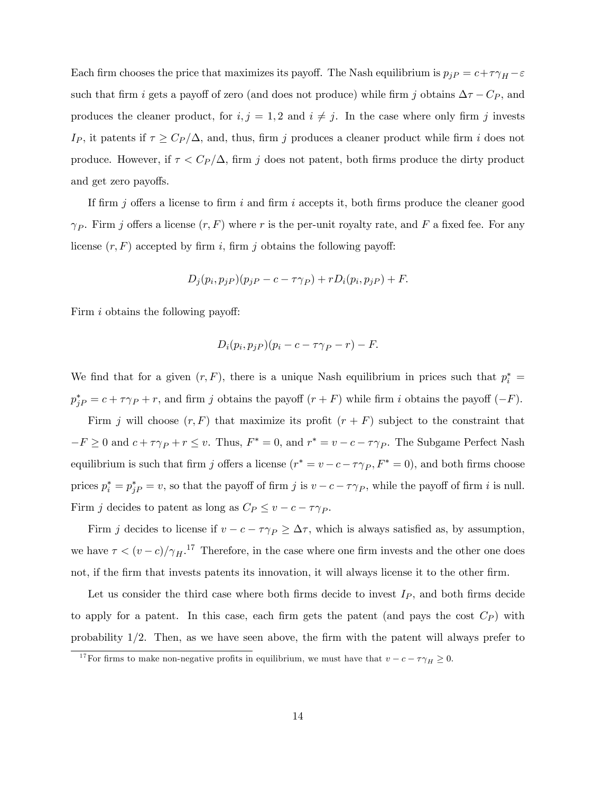Each firm chooses the price that maximizes its payoff. The Nash equilibrium is  $p_{jP} = c + \tau \gamma_H - \varepsilon$ such that firm i gets a payoff of zero (and does not produce) while firm j obtains  $\Delta \tau - C_P$ , and produces the cleaner product, for  $i, j = 1, 2$  and  $i \neq j$ . In the case where only firm j invests Ip, it patents if  $\tau \geq C_P/\Delta$ , and, thus, firm j produces a cleaner product while firm i does not produce. However, if  $\tau < C_P/\Delta$ , firm j does not patent, both firms produce the dirty product and get zero payoffs.

If firm j offers a license to firm i and firm i accepts it, both firms produce the cleaner good  $\gamma_P$ . Firm j offers a license  $(r, F)$  where r is the per-unit royalty rate, and F a fixed fee. For any license  $(r, F)$  accepted by firm i, firm j obtains the following payoff:

$$
D_j(p_i, p_j) (p_j - c - \tau \gamma_P) + r D_i(p_i, p_j) + F.
$$

Firm  $i$  obtains the following payoff:

$$
D_i(p_i, p_j) (p_i - c - \tau \gamma_P - r) - F.
$$

We find that for a given  $(r, F)$ , there is a unique Nash equilibrium in prices such that  $p_i^* =$  $p_{jP}^* = c + \tau \gamma_P + r$ , and firm j obtains the payoff  $(r + F)$  while firm i obtains the payoff  $(-F)$ .

Firm j will choose  $(r, F)$  that maximize its profit  $(r + F)$  subject to the constraint that  $-F \geq 0$  and  $c + \tau \gamma_P + r \leq v$ . Thus,  $F^* = 0$ , and  $r^* = v - c - \tau \gamma_P$ . The Subgame Perfect Nash equilibrium is such that firm j offers a license  $(r^* = v - c - \tau \gamma_P, F^* = 0)$ , and both firms choose prices  $p_i^* = p_j^* = v$ , so that the payoff of firm j is  $v - c - \tau \gamma_P$ , while the payoff of firm i is null. Firm j decides to patent as long as  $C_P \le v - c - \tau \gamma_P$ .

Firm j decides to license if  $v - c - \tau \gamma_P \geq \Delta \tau$ , which is always satisfied as, by assumption, we have  $\tau < (v - c)/\gamma_H$ .<sup>17</sup> Therefore, in the case where one firm invests and the other one does not, if the firm that invests patents its innovation, it will always license it to the other firm.

Let us consider the third case where both firms decide to invest  $I_P$ , and both firms decide to apply for a patent. In this case, each firm gets the patent (and pays the cost  $C_P$ ) with probability  $1/2$ . Then, as we have seen above, the firm with the patent will always prefer to

<sup>&</sup>lt;sup>17</sup>For firms to make non-negative profits in equilibrium, we must have that  $v - c - \tau \gamma_H \ge 0$ .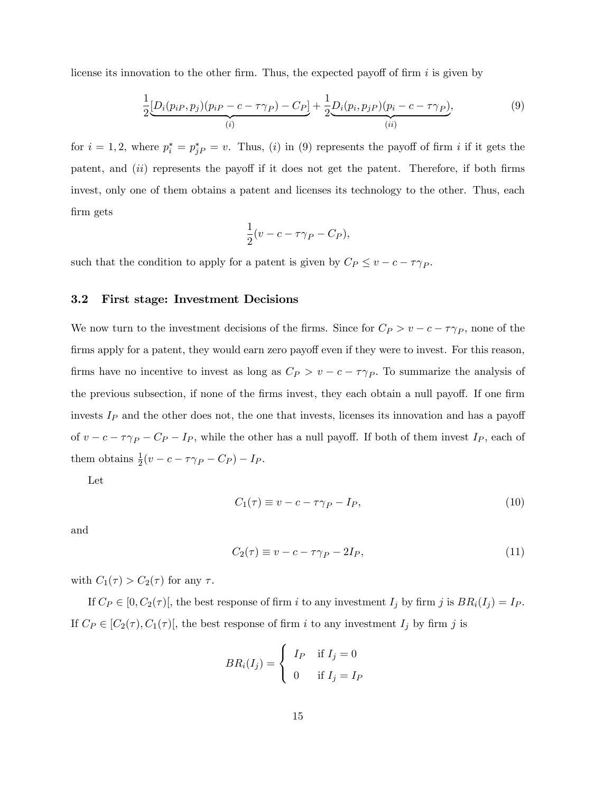license its innovation to the other firm. Thus, the expected payoff of firm  $i$  is given by

$$
\frac{1}{2} \underbrace{[D_i(p_{iP}, p_j)(p_{iP} - c - \tau \gamma_P) - C_P]}_{(i)} + \frac{1}{2} \underbrace{D_i(p_i, p_{jP})(p_i - c - \tau \gamma_P)}_{(ii)},
$$
\n(9)

for  $i = 1, 2$ , where  $p_i^* = p_{jP}^* = v$ . Thus, (i) in (9) represents the payoff of firm i if it gets the patent, and  $(ii)$  represents the payoff if it does not get the patent. Therefore, if both firms invest, only one of them obtains a patent and licenses its technology to the other. Thus, each Örm gets

$$
\frac{1}{2}(v - c - \tau \gamma_P - C_P),
$$

such that the condition to apply for a patent is given by  $C_P \le v - c - \tau \gamma_P$ .

#### 3.2 First stage: Investment Decisions

We now turn to the investment decisions of the firms. Since for  $C_P > v - c - \tau \gamma_P$ , none of the firms apply for a patent, they would earn zero payoff even if they were to invest. For this reason, firms have no incentive to invest as long as  $C_P > v - c - \tau \gamma_P$ . To summarize the analysis of the previous subsection, if none of the firms invest, they each obtain a null payoff. If one firm invests  $I_P$  and the other does not, the one that invests, licenses its innovation and has a payoff of  $v - c - \tau \gamma_P - C_P - I_P$ , while the other has a null payoff. If both of them invest  $I_P$ , each of them obtains  $\frac{1}{2}(v - c - \tau \gamma_P - C_P) - I_P$ .

Let

$$
C_1(\tau) \equiv v - c - \tau \gamma_P - I_P,\tag{10}
$$

and

$$
C_2(\tau) \equiv v - c - \tau \gamma_P - 2I_P,\tag{11}
$$

with  $C_1(\tau) > C_2(\tau)$  for any  $\tau$ .

If  $C_P \in [0, C_2(\tau)]$ , the best response of firm i to any investment  $I_j$  by firm j is  $BR_i(I_j) = I_P$ . If  $C_P \in [C_2(\tau), C_1(\tau)]$ , the best response of firm i to any investment  $I_j$  by firm j is

$$
BR_i(I_j) = \begin{cases} I_P & \text{if } I_j = 0 \\ 0 & \text{if } I_j = I_P \end{cases}
$$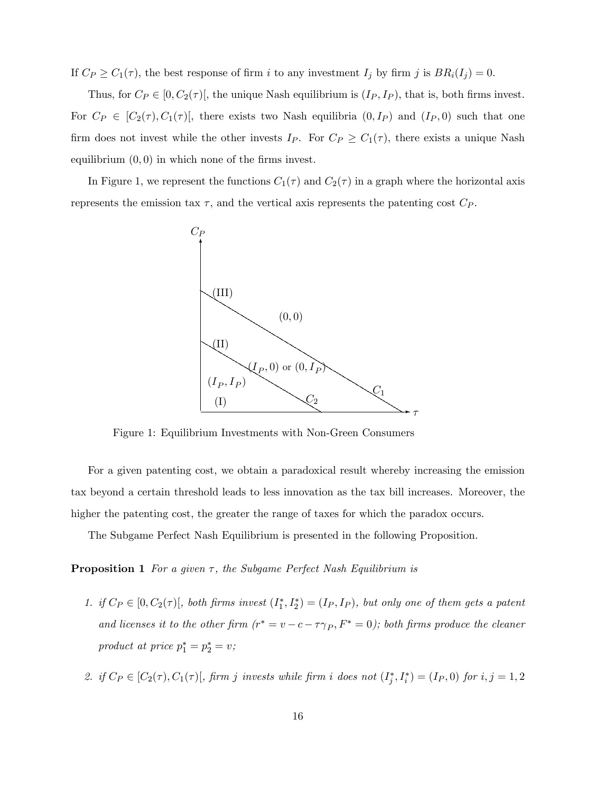If  $C_P \ge C_1(\tau)$ , the best response of firm i to any investment  $I_j$  by firm j is  $BR_i(I_j) = 0$ .

Thus, for  $C_P \in [0, C_2(\tau)]$ , the unique Nash equilibrium is  $(I_P, I_P)$ , that is, both firms invest. For  $C_P \in [C_2(\tau), C_1(\tau)]$ , there exists two Nash equilibria  $(0, I_P)$  and  $(I_P, 0)$  such that one firm does not invest while the other invests  $I_P$ . For  $C_P \geq C_1(\tau)$ , there exists a unique Nash equilibrium  $(0, 0)$  in which none of the firms invest.

In Figure 1, we represent the functions  $C_1(\tau)$  and  $C_2(\tau)$  in a graph where the horizontal axis represents the emission tax  $\tau$ , and the vertical axis represents the patenting cost  $C_P$ .



Figure 1: Equilibrium Investments with Non-Green Consumers

For a given patenting cost, we obtain a paradoxical result whereby increasing the emission tax beyond a certain threshold leads to less innovation as the tax bill increases. Moreover, the higher the patenting cost, the greater the range of taxes for which the paradox occurs.

The Subgame Perfect Nash Equilibrium is presented in the following Proposition.

**Proposition 1** For a given  $\tau$ , the Subgame Perfect Nash Equilibrium is

- 1. if  $C_P \in [0, C_2(\tau)$ , both firms invest  $(I_1^*, I_2^*) = (I_P, I_P)$ , but only one of them gets a patent and licenses it to the other firm  $(r^* = v - c - \tau \gamma_P, F^* = 0)$ ; both firms produce the cleaner product at price  $p_1^* = p_2^* = v$ ;
- 2. if  $C_P \in [C_2(\tau), C_1(\tau)]$ , firm j invests while firm i does not  $(I_j^*, I_i^*) = (I_P, 0)$  for  $i, j = 1, 2$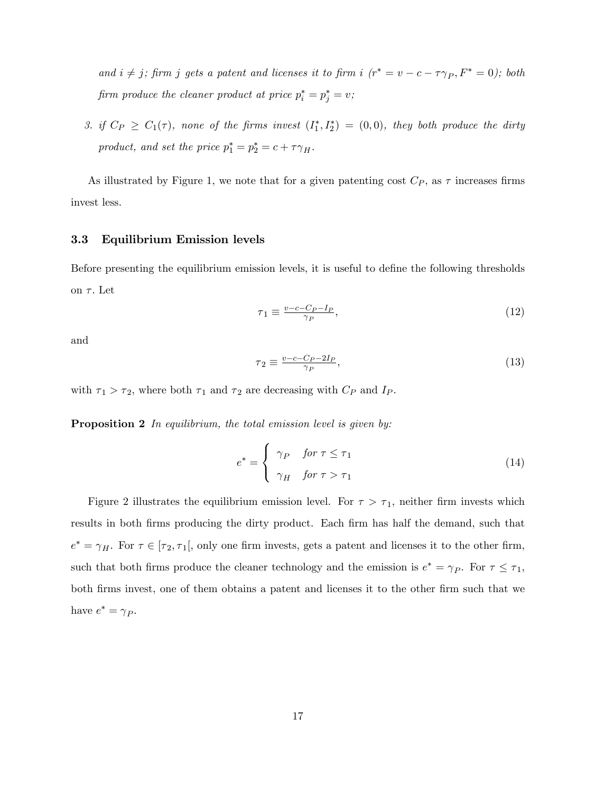and  $i \neq j$ ; firm j gets a patent and licenses it to firm i  $(r^* = v - c - \tau \gamma_P, F^* = 0)$ ; both firm produce the cleaner product at price  $p_i^* = p_j^* = v$ ;

3. if  $C_P \geq C_1(\tau)$ , none of the firms invest  $(I_1^*, I_2^*) = (0,0)$ , they both produce the dirty product, and set the price  $p_1^* = p_2^* = c + \tau \gamma_H$ .

As illustrated by Figure 1, we note that for a given patenting cost  $C_P$ , as  $\tau$  increases firms invest less.

#### 3.3 Equilibrium Emission levels

Before presenting the equilibrium emission levels, it is useful to define the following thresholds on  $\tau$ . Let

$$
\tau_1 \equiv \frac{v - c - C_P - I_P}{\gamma_P},\tag{12}
$$

and

$$
\tau_2 \equiv \frac{v - c - C_P - 2I_P}{\gamma_P},\tag{13}
$$

with  $\tau_1 > \tau_2$ , where both  $\tau_1$  and  $\tau_2$  are decreasing with  $C_P$  and  $I_P$ .

**Proposition 2** In equilibrium, the total emission level is given by:

$$
e^* = \begin{cases} \gamma_P & \text{for } \tau \le \tau_1 \\ \gamma_H & \text{for } \tau > \tau_1 \end{cases}
$$
 (14)

Figure 2 illustrates the equilibrium emission level. For  $\tau > \tau_1$ , neither firm invests which results in both firms producing the dirty product. Each firm has half the demand, such that  $e^* = \gamma_H$ . For  $\tau \in [\tau_2, \tau_1],$  only one firm invests, gets a patent and licenses it to the other firm, such that both firms produce the cleaner technology and the emission is  $e^* = \gamma_P$ . For  $\tau \leq \tau_1$ , both Örms invest, one of them obtains a patent and licenses it to the other Örm such that we have  $e^* = \gamma_P$ .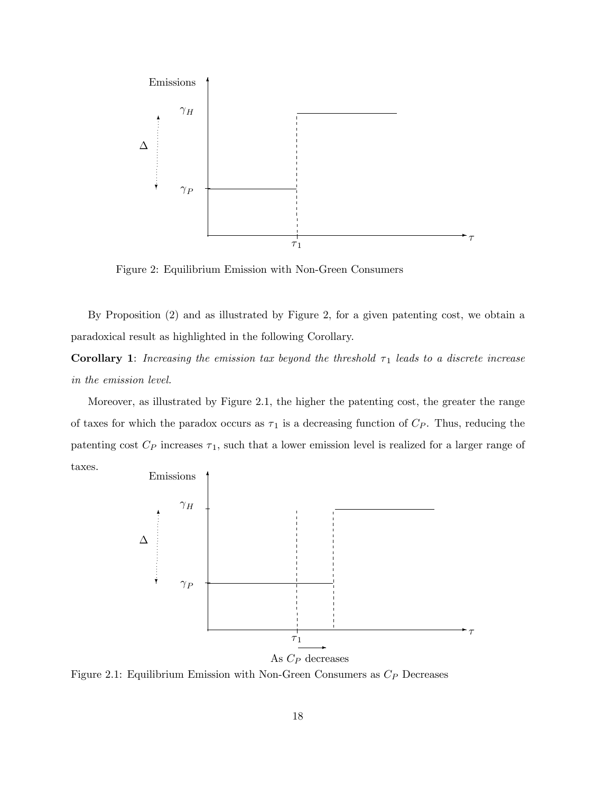

Figure 2: Equilibrium Emission with Non-Green Consumers

By Proposition (2) and as illustrated by Figure 2, for a given patenting cost, we obtain a paradoxical result as highlighted in the following Corollary.

**Corollary 1:** Increasing the emission tax beyond the threshold  $\tau_1$  leads to a discrete increase in the emission level.

Moreover, as illustrated by Figure 2.1, the higher the patenting cost, the greater the range of taxes for which the paradox occurs as  $\tau_1$  is a decreasing function of  $C_P$ . Thus, reducing the patenting cost  $C_P$  increases  $\tau_1$ , such that a lower emission level is realized for a larger range of taxes.



Figure 2.1: Equilibrium Emission with Non-Green Consumers as  $C_P$  Decreases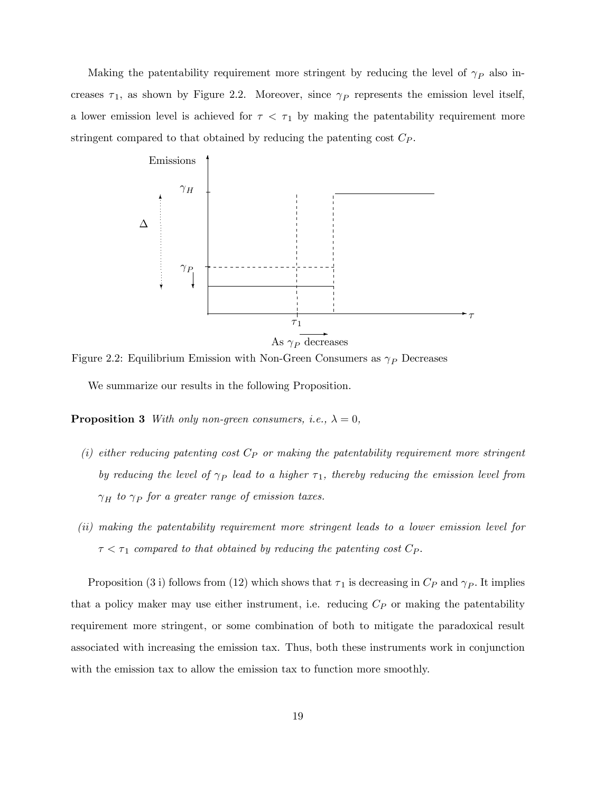Making the patentability requirement more stringent by reducing the level of  $\gamma_P$  also increases  $\tau_1$ , as shown by Figure 2.2. Moreover, since  $\gamma_P$  represents the emission level itself, a lower emission level is achieved for  $\tau < \tau_1$  by making the patentability requirement more stringent compared to that obtained by reducing the patenting cost  $C_P$ .



Figure 2.2: Equilibrium Emission with Non-Green Consumers as  $\gamma_P$  Decreases

We summarize our results in the following Proposition.

**Proposition 3** With only non-green consumers, i.e.,  $\lambda = 0$ ,

- (i) either reducing patenting cost  $C_P$  or making the patentability requirement more stringent by reducing the level of  $\gamma_P$  lead to a higher  $\tau_1$ , thereby reducing the emission level from  $\gamma_H$  to  $\gamma_P$  for a greater range of emission taxes.
- (ii) making the patentability requirement more stringent leads to a lower emission level for  $\tau < \tau_1$  compared to that obtained by reducing the patenting cost  $C_P$ .

Proposition (3 i) follows from (12) which shows that  $\tau_1$  is decreasing in  $C_P$  and  $\gamma_P$ . It implies that a policy maker may use either instrument, i.e. reducing  $C_P$  or making the patentability requirement more stringent, or some combination of both to mitigate the paradoxical result associated with increasing the emission tax. Thus, both these instruments work in conjunction with the emission tax to allow the emission tax to function more smoothly.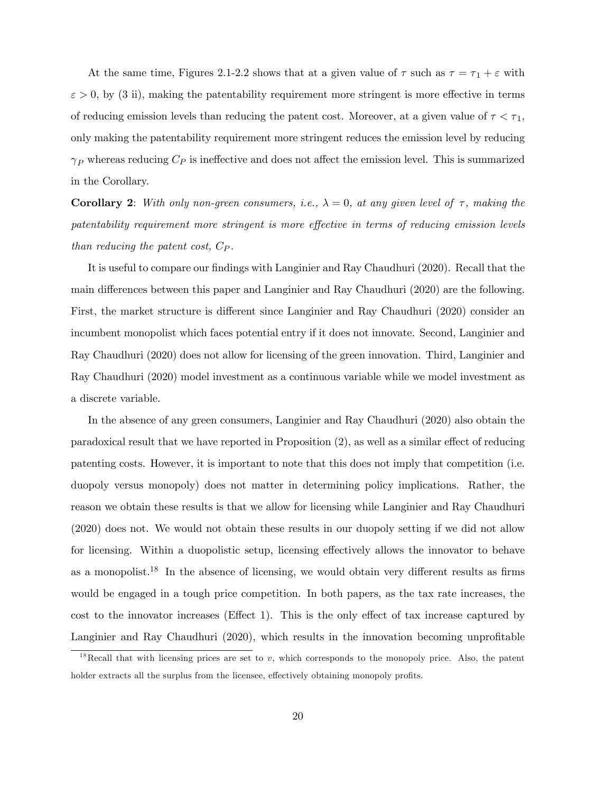At the same time, Figures 2.1-2.2 shows that at a given value of  $\tau$  such as  $\tau = \tau_1 + \varepsilon$  with  $\varepsilon > 0$ , by (3 ii), making the patentability requirement more stringent is more effective in terms of reducing emission levels than reducing the patent cost. Moreover, at a given value of  $\tau < \tau_1$ , only making the patentability requirement more stringent reduces the emission level by reducing  $\gamma_P$  whereas reducing  $C_P$  is ineffective and does not affect the emission level. This is summarized in the Corollary.

**Corollary 2:** With only non-green consumers, i.e.,  $\lambda = 0$ , at any given level of  $\tau$ , making the patentability requirement more stringent is more effective in terms of reducing emission levels than reducing the patent cost,  $C_P$ .

It is useful to compare our findings with Langinier and Ray Chaudhuri (2020). Recall that the main differences between this paper and Langinier and Ray Chaudhuri (2020) are the following. First, the market structure is different since Langinier and Ray Chaudhuri (2020) consider an incumbent monopolist which faces potential entry if it does not innovate. Second, Langinier and Ray Chaudhuri (2020) does not allow for licensing of the green innovation. Third, Langinier and Ray Chaudhuri (2020) model investment as a continuous variable while we model investment as a discrete variable.

In the absence of any green consumers, Langinier and Ray Chaudhuri (2020) also obtain the paradoxical result that we have reported in Proposition  $(2)$ , as well as a similar effect of reducing patenting costs. However, it is important to note that this does not imply that competition (i.e. duopoly versus monopoly) does not matter in determining policy implications. Rather, the reason we obtain these results is that we allow for licensing while Langinier and Ray Chaudhuri (2020) does not. We would not obtain these results in our duopoly setting if we did not allow for licensing. Within a duopolistic setup, licensing effectively allows the innovator to behave as a monopolist.<sup>18</sup> In the absence of licensing, we would obtain very different results as firms would be engaged in a tough price competition. In both papers, as the tax rate increases, the cost to the innovator increases (Effect 1). This is the only effect of tax increase captured by Langinier and Ray Chaudhuri (2020), which results in the innovation becoming unprofitable

<sup>&</sup>lt;sup>18</sup>Recall that with licensing prices are set to v, which corresponds to the monopoly price. Also, the patent holder extracts all the surplus from the licensee, effectively obtaining monopoly profits.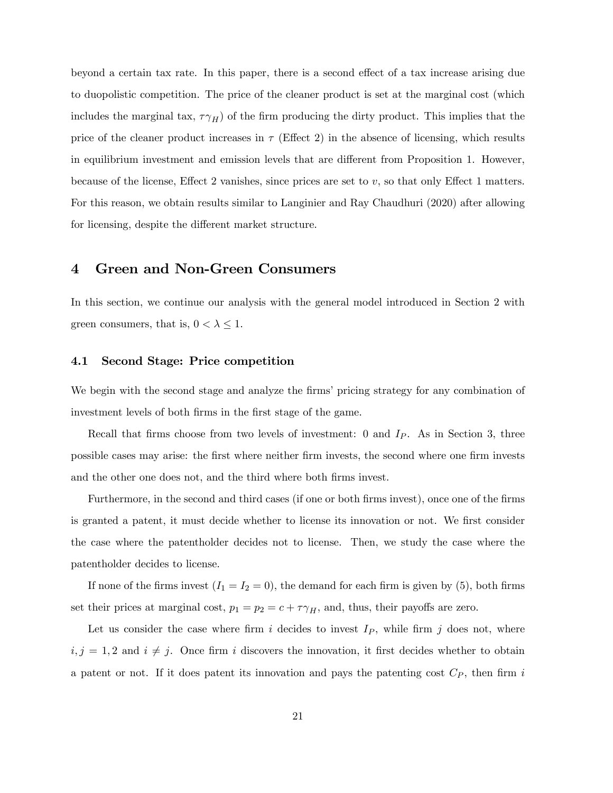beyond a certain tax rate. In this paper, there is a second effect of a tax increase arising due to duopolistic competition. The price of the cleaner product is set at the marginal cost (which includes the marginal tax,  $\tau \gamma_H$ ) of the firm producing the dirty product. This implies that the price of the cleaner product increases in  $\tau$  (Effect 2) in the absence of licensing, which results in equilibrium investment and emission levels that are different from Proposition 1. However, because of the license, Effect 2 vanishes, since prices are set to  $v$ , so that only Effect 1 matters. For this reason, we obtain results similar to Langinier and Ray Chaudhuri (2020) after allowing for licensing, despite the different market structure.

## 4 Green and Non-Green Consumers

In this section, we continue our analysis with the general model introduced in Section 2 with green consumers, that is,  $0 < \lambda \leq 1$ .

## 4.1 Second Stage: Price competition

We begin with the second stage and analyze the firms' pricing strategy for any combination of investment levels of both firms in the first stage of the game.

Recall that firms choose from two levels of investment: 0 and  $I_P$ . As in Section 3, three possible cases may arise: the Örst where neither Örm invests, the second where one Örm invests and the other one does not, and the third where both firms invest.

Furthermore, in the second and third cases (if one or both firms invest), once one of the firms is granted a patent, it must decide whether to license its innovation or not. We first consider the case where the patentholder decides not to license. Then, we study the case where the patentholder decides to license.

If none of the firms invest  $(I_1 = I_2 = 0)$ , the demand for each firm is given by (5), both firms set their prices at marginal cost,  $p_1 = p_2 = c + \tau \gamma_H$ , and, thus, their payoffs are zero.

Let us consider the case where firm i decides to invest  $I_P$ , while firm j does not, where  $i, j = 1, 2$  and  $i \neq j$ . Once firm i discovers the innovation, it first decides whether to obtain a patent or not. If it does patent its innovation and pays the patenting cost  $C_P$ , then firm i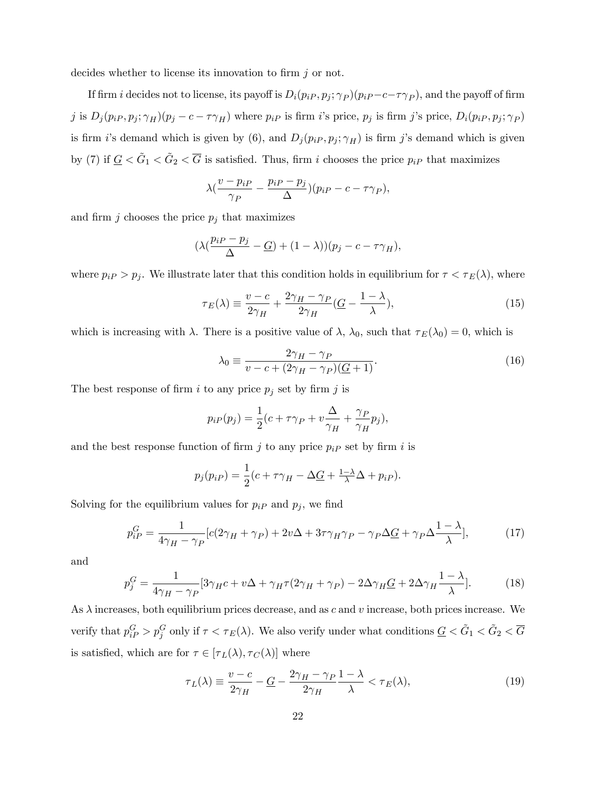decides whether to license its innovation to firm  $j$  or not.

If firm *i* decides not to license, its payoff is  $D_i(p_i, p_j; \gamma_P)(p_i - c - \tau \gamma_P)$ , and the payoff of firm j is  $D_j(p_{iP}, p_j; \gamma_H)(p_j - c - \tau \gamma_H)$  where  $p_{iP}$  is firm i's price,  $p_j$  is firm j's price,  $D_i(p_{iP}, p_j; \gamma_P)$ is firm i's demand which is given by (6), and  $D_j(p_i, p_j; \gamma_H)$  is firm j's demand which is given by (7) if  $\underline{G} < \tilde{G}_1 < \tilde{G}_2 < \overline{G}$  is satisfied. Thus, firm i chooses the price  $p_{iP}$  that maximizes

$$
\lambda \left( \frac{v - p_{iP}}{\gamma_P} - \frac{p_{iP} - p_j}{\Delta} \right) (p_{iP} - c - \tau \gamma_P),
$$

and firm  $j$  chooses the price  $p_j$  that maximizes

$$
(\lambda(\frac{p_{iP} - p_j}{\Delta} - \underline{G}) + (1 - \lambda))(p_j - c - \tau \gamma_H),
$$

where  $p_{iP} > p_j$ . We illustrate later that this condition holds in equilibrium for  $\tau < \tau_E(\lambda)$ , where

$$
\tau_E(\lambda) \equiv \frac{v - c}{2\gamma_H} + \frac{2\gamma_H - \gamma_P}{2\gamma_H} \left(\frac{G}{\lambda} - \frac{1 - \lambda}{\lambda}\right),\tag{15}
$$

which is increasing with  $\lambda$ . There is a positive value of  $\lambda$ ,  $\lambda_0$ , such that  $\tau_E(\lambda_0) = 0$ , which is

$$
\lambda_0 \equiv \frac{2\gamma_H - \gamma_P}{v - c + (2\gamma_H - \gamma_P)(\underline{G} + 1)}.\tag{16}
$$

The best response of firm i to any price  $p_j$  set by firm j is

$$
p_i P(p_j) = \frac{1}{2}(c + \tau \gamma_P + v \frac{\Delta}{\gamma_H} + \frac{\gamma_P}{\gamma_H} p_j),
$$

and the best response function of firm j to any price  $p_i$  set by firm i is

$$
p_j(p_{iP}) = \frac{1}{2}(c + \tau \gamma_H - \Delta \underline{G} + \frac{1-\lambda}{\lambda} \Delta + p_{iP}).
$$

Solving for the equilibrium values for  $p_i$  and  $p_j$ , we find

$$
p_{iP}^G = \frac{1}{4\gamma_H - \gamma_P} [c(2\gamma_H + \gamma_P) + 2v\Delta + 3\tau\gamma_H\gamma_P - \gamma_P\Delta\underline{G} + \gamma_P\Delta\frac{1-\lambda}{\lambda}],\tag{17}
$$

and

$$
p_j^G = \frac{1}{4\gamma_H - \gamma_P} [3\gamma_H c + v\Delta + \gamma_H \tau (2\gamma_H + \gamma_P) - 2\Delta \gamma_H \underline{G} + 2\Delta \gamma_H \frac{1 - \lambda}{\lambda}]. \tag{18}
$$

As  $\lambda$  increases, both equilibrium prices decrease, and as c and v increase, both prices increase. We verify that  $p_{iP}^G > p_j^G$  only if  $\tau < \tau_E(\lambda)$ . We also verify under what conditions  $\underline{G} < \tilde{G}_1 < \tilde{G}_2 < \overline{G}$ is satisfied, which are for  $\tau \in [\tau_L(\lambda), \tau_C(\lambda)]$  where

$$
\tau_L(\lambda) \equiv \frac{v - c}{2\gamma_H} - \underline{G} - \frac{2\gamma_H - \gamma_P}{2\gamma_H} \frac{1 - \lambda}{\lambda} < \tau_E(\lambda),\tag{19}
$$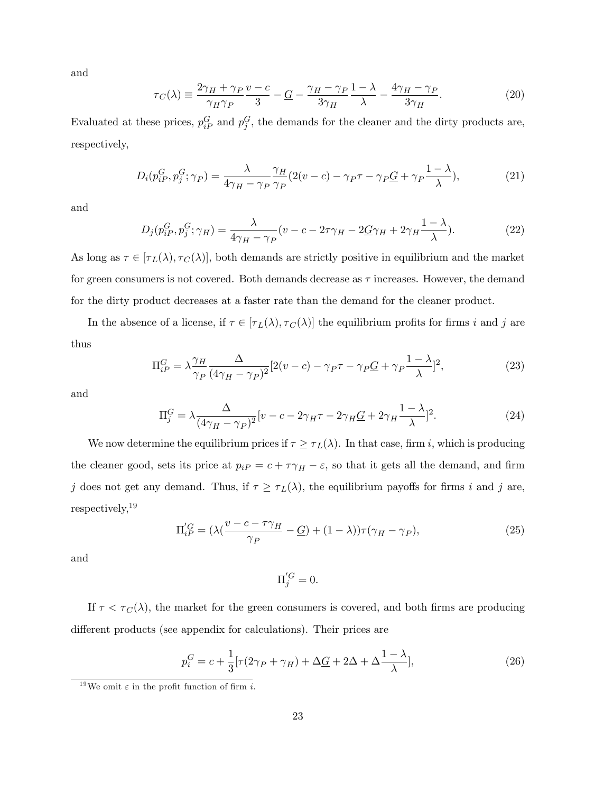and

$$
\tau_C(\lambda) \equiv \frac{2\gamma_H + \gamma_P v - c}{\gamma_H \gamma_P} \frac{v - c}{3} - \frac{G}{3\gamma_H} - \frac{\gamma_H - \gamma_P}{3\gamma_H} \frac{1 - \lambda}{\lambda} - \frac{4\gamma_H - \gamma_P}{3\gamma_H}.
$$
(20)

Evaluated at these prices,  $p_{iP}^G$  and  $p_j^G$ , the demands for the cleaner and the dirty products are, respectively,

$$
D_i(p_{iP}^G, p_j^G; \gamma_P) = \frac{\lambda}{4\gamma_H - \gamma_P} \frac{\gamma_H}{\gamma_P} (2(v - c) - \gamma_P \tau - \gamma_P \underline{G} + \gamma_P \frac{1 - \lambda}{\lambda}), \tag{21}
$$

and

$$
D_j(p_{iP}^G, p_j^G; \gamma_H) = \frac{\lambda}{4\gamma_H - \gamma_P} (v - c - 2\tau\gamma_H - 2\underline{G}\gamma_H + 2\gamma_H \frac{1 - \lambda}{\lambda}).
$$
\n(22)

As long as  $\tau \in [\tau_L(\lambda), \tau_C(\lambda)]$ , both demands are strictly positive in equilibrium and the market for green consumers is not covered. Both demands decrease as  $\tau$  increases. However, the demand for the dirty product decreases at a faster rate than the demand for the cleaner product.

In the absence of a license, if  $\tau \in [\tau_L(\lambda), \tau_C(\lambda)]$  the equilibrium profits for firms i and j are thus

$$
\Pi_{iP}^G = \lambda \frac{\gamma_H}{\gamma_P} \frac{\Delta}{(4\gamma_H - \gamma_P)^2} [2(v - c) - \gamma_P \tau - \gamma_P \underline{G} + \gamma_P \frac{1 - \lambda}{\lambda}]^2,
$$
\n(23)

and

$$
\Pi_j^G = \lambda \frac{\Delta}{(4\gamma_H - \gamma_P)^2} [v - c - 2\gamma_H \tau - 2\gamma_H \underline{G} + 2\gamma_H \frac{1 - \lambda}{\lambda}]^2.
$$
 (24)

We now determine the equilibrium prices if  $\tau \geq \tau_L(\lambda)$ . In that case, firm i, which is producing the cleaner good, sets its price at  $p_{iP} = c + \tau \gamma_H - \varepsilon$ , so that it gets all the demand, and firm j does not get any demand. Thus, if  $\tau \geq \tau_L(\lambda)$ , the equilibrium payoffs for firms i and j are, respectively,<sup>19</sup>

$$
\Pi_{iP}^{'G} = \left(\lambda \left(\frac{v - c - \tau \gamma_H}{\gamma_P} - \underline{G}\right) + (1 - \lambda)\right) \tau \left(\gamma_H - \gamma_P\right),\tag{25}
$$

and

$$
\Pi_j^{'G} = 0.
$$

If  $\tau < \tau_C(\lambda)$ , the market for the green consumers is covered, and both firms are producing different products (see appendix for calculations). Their prices are

$$
p_i^G = c + \frac{1}{3} [\tau (2\gamma_P + \gamma_H) + \Delta \underline{G} + 2\Delta + \Delta \frac{1-\lambda}{\lambda}],
$$
\n(26)

<sup>&</sup>lt;sup>19</sup>We omit  $\varepsilon$  in the profit function of firm *i*.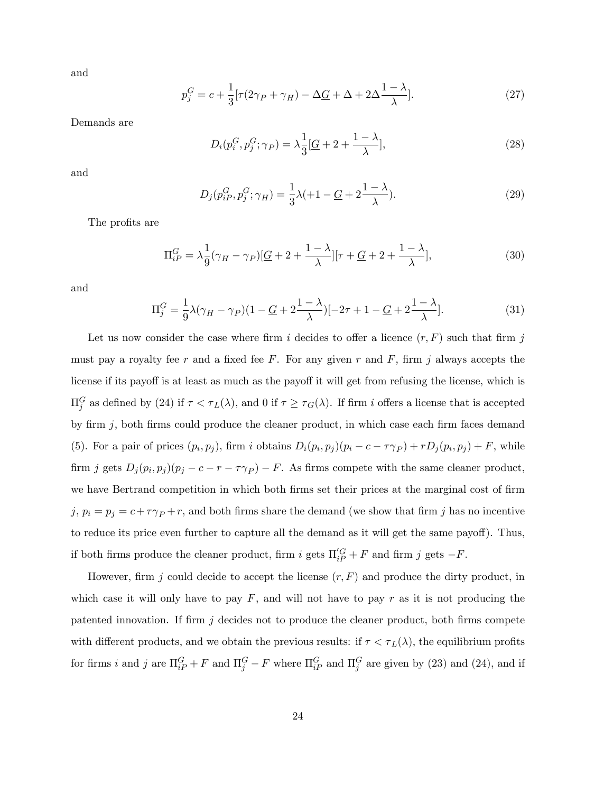and

$$
p_j^G = c + \frac{1}{3} [\tau (2\gamma_P + \gamma_H) - \Delta \underline{G} + \Delta + 2\Delta \frac{1 - \lambda}{\lambda}].
$$
 (27)

Demands are

$$
D_i(p_i^G, p_j^G; \gamma_P) = \lambda \frac{1}{3} \left[ \underline{G} + 2 + \frac{1 - \lambda}{\lambda} \right],\tag{28}
$$

and

$$
D_j(p_{iP}^G, p_j^G; \gamma_H) = \frac{1}{3}\lambda (1 - \underline{G} + 2\frac{1 - \lambda}{\lambda}).
$$
\n(29)

The profits are

$$
\Pi_{iP}^G = \lambda \frac{1}{9} (\gamma_H - \gamma_P) [\underline{G} + 2 + \frac{1 - \lambda}{\lambda}][\tau + \underline{G} + 2 + \frac{1 - \lambda}{\lambda}], \tag{30}
$$

and

$$
\Pi_j^G = \frac{1}{9}\lambda(\gamma_H - \gamma_P)(1 - \underline{G} + 2\frac{1-\lambda}{\lambda})[-2\tau + 1 - \underline{G} + 2\frac{1-\lambda}{\lambda}].\tag{31}
$$

Let us now consider the case where firm i decides to offer a licence  $(r, F)$  such that firm j must pay a royalty fee r and a fixed fee F. For any given r and F, firm j always accepts the license if its payoff is at least as much as the payoff it will get from refusing the license, which is  $\Pi_j^G$  as defined by (24) if  $\tau < \tau_L(\lambda)$ , and 0 if  $\tau \ge \tau_G(\lambda)$ . If firm *i* offers a license that is accepted by firm  $j$ , both firms could produce the cleaner product, in which case each firm faces demand (5). For a pair of prices  $(p_i, p_j)$ , firm i obtains  $D_i(p_i, p_j)(p_i - c - \tau \gamma_P) + rD_j(p_i, p_j) + F$ , while firm j gets  $D_j(p_i, p_j)(p_j - c - r - \tau \gamma_P) - F$ . As firms compete with the same cleaner product, we have Bertrand competition in which both firms set their prices at the marginal cost of firm j,  $p_i = p_j = c + \tau \gamma_P + r$ , and both firms share the demand (we show that firm j has no incentive to reduce its price even further to capture all the demand as it will get the same payoff). Thus, if both firms produce the cleaner product, firm i gets  $\Pi_{iP}^{'G} + F$  and firm j gets  $-F$ .

However, firm  $j$  could decide to accept the license  $(r, F)$  and produce the dirty product, in which case it will only have to pay  $F$ , and will not have to pay  $r$  as it is not producing the patented innovation. If firm  $j$  decides not to produce the cleaner product, both firms compete with different products, and we obtain the previous results: if  $\tau < \tau_L(\lambda)$ , the equilibrium profits for firms *i* and *j* are  $\Pi_{iP}^G + F$  and  $\Pi_j^G - F$  where  $\Pi_{iP}^G$  and  $\Pi_j^G$  are given by (23) and (24), and if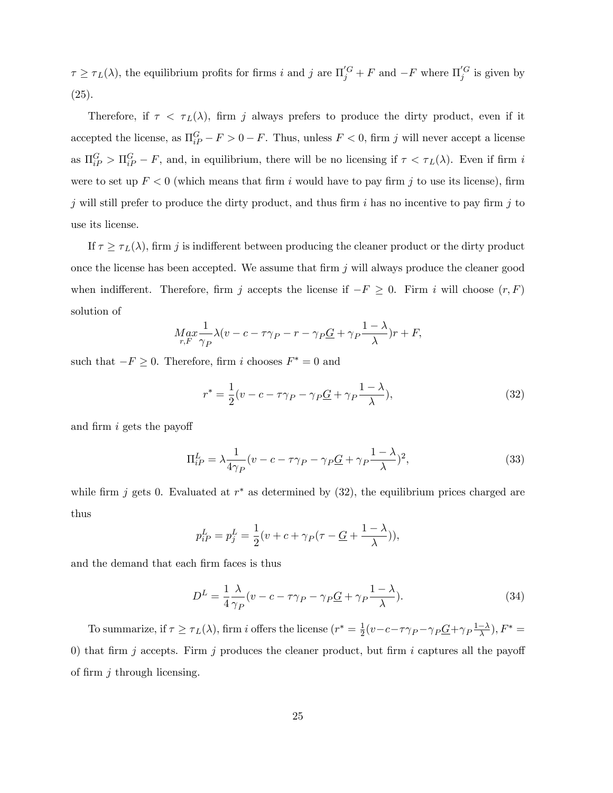$\tau \geq \tau_L(\lambda)$ , the equilibrium profits for firms i and j are  $\Pi_j'^G + F$  and  $-F$  where  $\Pi_j'^G$  is given by (25).

Therefore, if  $\tau < \tau_L(\lambda)$ , firm j always prefers to produce the dirty product, even if it accepted the license, as  $\Pi_{i}^{G} - F > 0 - F$ . Thus, unless  $F < 0$ , firm j will never accept a license as  $\Pi_{iP}^G > \Pi_{iP}^G - F$ , and, in equilibrium, there will be no licensing if  $\tau < \tau_L(\lambda)$ . Even if firm i were to set up  $F < 0$  (which means that firm i would have to pay firm j to use its license), firm j will still prefer to produce the dirty product, and thus firm i has no incentive to pay firm j to use its license.

If  $\tau \geq \tau_L(\lambda)$ , firm j is indifferent between producing the cleaner product or the dirty product once the license has been accepted. We assume that firm  $j$  will always produce the cleaner good when indifferent. Therefore, firm j accepts the license if  $-F \geq 0$ . Firm i will choose  $(r, F)$ solution of

$$
\underset{r,F}{Max} \frac{1}{\gamma_P} \lambda (v - c - \tau \gamma_P - r - \gamma_P \underline{G} + \gamma_P \frac{1 - \lambda}{\lambda})r + F,
$$

such that  $-F \geq 0$ . Therefore, firm i chooses  $F^* = 0$  and

$$
r^* = \frac{1}{2}(v - c - \tau \gamma_P - \gamma_P \underline{G} + \gamma_P \frac{1 - \lambda}{\lambda}),
$$
\n(32)

and firm  $i$  gets the payoff

$$
\Pi_{iP}^{L} = \lambda \frac{1}{4\gamma_P} (v - c - \tau \gamma_P - \gamma_P \underline{G} + \gamma_P \frac{1 - \lambda}{\lambda})^2,
$$
\n(33)

while firm j gets 0. Evaluated at  $r^*$  as determined by  $(32)$ , the equilibrium prices charged are thus

$$
p_{iP}^L = p_j^L = \frac{1}{2}(v + c + \gamma_P(\tau - \underline{G} + \frac{1 - \lambda}{\lambda})),
$$

and the demand that each firm faces is thus

$$
D^{L} = \frac{1}{4} \frac{\lambda}{\gamma_P} (v - c - \tau \gamma_P - \gamma_P \underline{G} + \gamma_P \frac{1 - \lambda}{\lambda}).
$$
\n(34)

To summarize, if  $\tau \ge \tau_L(\lambda)$ , firm i offers the license  $(r^* = \frac{1}{2})$  $\frac{1}{2}(v-c-\tau\gamma_P-\gamma_P\underline{G}+\gamma_P\frac{1-\lambda}{\lambda}),F^*=$ 0) that firm j accepts. Firm j produces the cleaner product, but firm i captures all the payoff of firm  $j$  through licensing.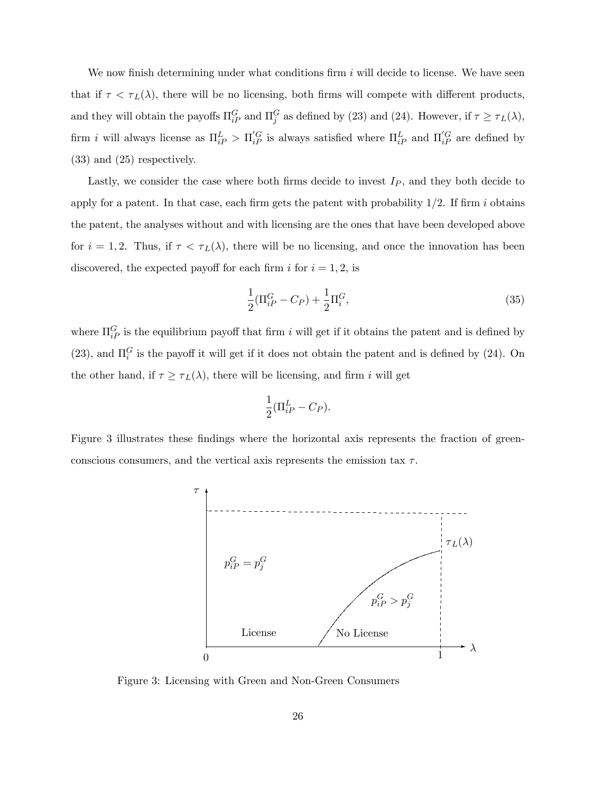We now finish determining under what conditions firm  $i$  will decide to license. We have seen that if  $\tau < \tau_L(\lambda)$ , there will be no licensing, both firms will compete with different products, and they will obtain the payoffs  $\Pi_{iP}^G$  and  $\Pi_j^G$  as defined by (23) and (24). However, if  $\tau \ge \tau_L(\lambda)$ , firm *i* will always license as  $\Pi_{iP}^L > \Pi_{iP}^{'G}$  is always satisfied where  $\Pi_{iP}^L$  and  $\Pi_{iP}^{'G}$  are defined by (33) and (25) respectively.

Lastly, we consider the case where both firms decide to invest  $I_P$ , and they both decide to apply for a patent. In that case, each firm gets the patent with probability  $1/2$ . If firm i obtains the patent, the analyses without and with licensing are the ones that have been developed above for  $i = 1, 2$ . Thus, if  $\tau < \tau_L(\lambda)$ , there will be no licensing, and once the innovation has been discovered, the expected payoff for each firm i for  $i = 1, 2$ , is

$$
\frac{1}{2}(\Pi_{iP}^G - C_P) + \frac{1}{2}\Pi_i^G,\tag{35}
$$

where  $\Pi_{i}^G$  is the equilibrium payoff that firm i will get if it obtains the patent and is defined by (23), and  $\Pi_i^G$  is the payoff it will get if it does not obtain the patent and is defined by (24). On the other hand, if  $\tau \geq \tau_L(\lambda)$ , there will be licensing, and firm i will get

$$
\frac{1}{2}(\Pi_{iP}^L - C_P).
$$

Figure 3 illustrates these findings where the horizontal axis represents the fraction of greenconscious consumers, and the vertical axis represents the emission tax  $\tau$ .



Figure 3: Licensing with Green and Non-Green Consumers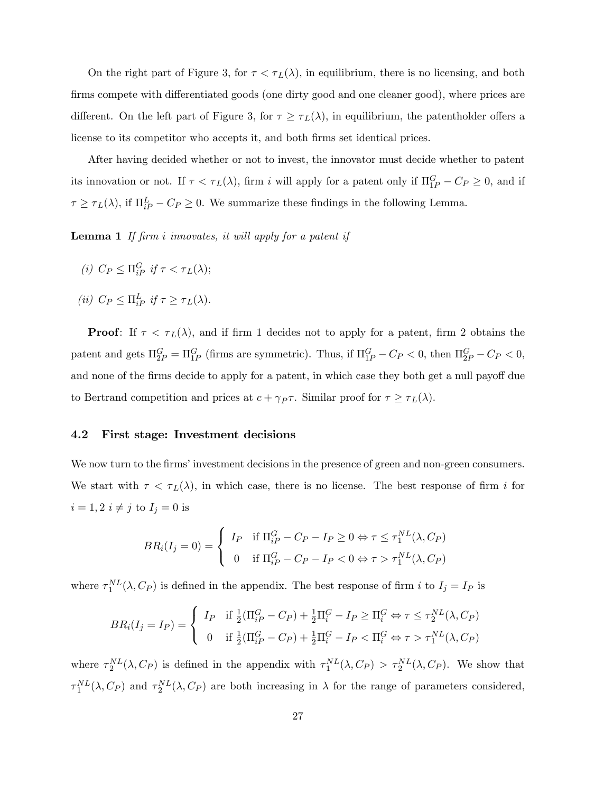On the right part of Figure 3, for  $\tau < \tau_L(\lambda)$ , in equilibrium, there is no licensing, and both firms compete with differentiated goods (one dirty good and one cleaner good), where prices are different. On the left part of Figure 3, for  $\tau \geq \tau_L(\lambda)$ , in equilibrium, the patentholder offers a license to its competitor who accepts it, and both firms set identical prices.

After having decided whether or not to invest, the innovator must decide whether to patent its innovation or not. If  $\tau < \tau_L(\lambda)$ , firm i will apply for a patent only if  $\Pi_{1P}^G - C_P \geq 0$ , and if  $\tau \geq \tau_L(\lambda)$ , if  $\Pi_{iP}^L - C_P \geq 0$ . We summarize these findings in the following Lemma.

**Lemma 1** If firm i innovates, it will apply for a patent if

- (i)  $C_P \leq \prod_{iP}^G$  if  $\tau < \tau_L(\lambda);$
- (*ii*)  $C_P \leq \prod_{iP}^L$  if  $\tau \geq \tau_L(\lambda)$ .

**Proof:** If  $\tau < \tau_L(\lambda)$ , and if firm 1 decides not to apply for a patent, firm 2 obtains the patent and gets  $\Pi_{2P}^G = \Pi_{1P}^G$  (firms are symmetric). Thus, if  $\Pi_{1P}^G - C_P < 0$ , then  $\Pi_{2P}^G - C_P < 0$ , and none of the firms decide to apply for a patent, in which case they both get a null payoff due to Bertrand competition and prices at  $c + \gamma_P \tau$ . Similar proof for  $\tau \geq \tau_L(\lambda)$ .

#### 4.2 First stage: Investment decisions

We now turn to the firms' investment decisions in the presence of green and non-green consumers. We start with  $\tau < \tau_L(\lambda)$ , in which case, there is no license. The best response of firm i for  $i = 1, 2$   $i \neq j$  to  $I_j = 0$  is

$$
BR_i(I_j = 0) = \begin{cases} I_P & \text{if } \Pi_{iP}^G - C_P - I_P \ge 0 \Leftrightarrow \tau \le \tau_1^{NL}(\lambda, C_P) \\ 0 & \text{if } \Pi_{iP}^G - C_P - I_P < 0 \Leftrightarrow \tau > \tau_1^{NL}(\lambda, C_P) \end{cases}
$$

where  $\tau_1^{NL}(\lambda, C_P)$  is defined in the appendix. The best response of firm i to  $I_j = I_P$  is

$$
BR_i(I_j = I_P) = \begin{cases} I_P & \text{if } \frac{1}{2}(\Pi_{iP}^G - C_P) + \frac{1}{2}\Pi_i^G - I_P \ge \Pi_i^G \Leftrightarrow \tau \le \tau_2^{NL}(\lambda, C_P) \\ 0 & \text{if } \frac{1}{2}(\Pi_{iP}^G - C_P) + \frac{1}{2}\Pi_i^G - I_P < \Pi_i^G \Leftrightarrow \tau > \tau_1^{NL}(\lambda, C_P) \end{cases}
$$

where  $\tau_2^{NL}(\lambda, C_P)$  is defined in the appendix with  $\tau_1^{NL}(\lambda, C_P) > \tau_2^{NL}(\lambda, C_P)$ . We show that  $\tau_1^{NL}(\lambda, C_P)$  and  $\tau_2^{NL}(\lambda, C_P)$  are both increasing in  $\lambda$  for the range of parameters considered,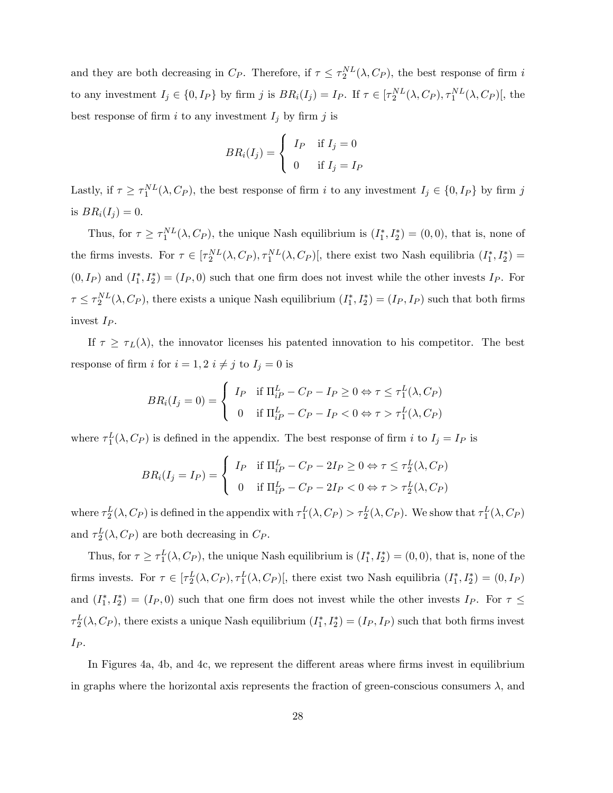and they are both decreasing in  $C_P$ . Therefore, if  $\tau \leq \tau_2^{NL}(\lambda, C_P)$ , the best response of firm i to any investment  $I_j \in \{0, I_P\}$  by firm j is  $BR_i(I_j) = I_P$ . If  $\tau \in [\tau_2^{NL}(\lambda, C_P), \tau_1^{NL}(\lambda, C_P)]$ , the best response of firm i to any investment  $I_j$  by firm j is

$$
BR_i(I_j) = \begin{cases} I_P & \text{if } I_j = 0 \\ 0 & \text{if } I_j = I_P \end{cases}
$$

Lastly, if  $\tau \geq \tau_1^{NL}(\lambda, C_P)$ , the best response of firm i to any investment  $I_j \in \{0, I_P\}$  by firm j is  $BR_i(I_i) = 0$ .

Thus, for  $\tau \geq \tau_1^{NL}(\lambda, C_P)$ , the unique Nash equilibrium is  $(I_1^*, I_2^*) = (0, 0)$ , that is, none of the firms invests. For  $\tau \in [\tau_2^{NL}(\lambda, C_P), \tau_1^{NL}(\lambda, C_P)]$ , there exist two Nash equilibria  $(I_1^*, I_2^*)$  $(0, I_P)$  and  $(I_1^*, I_2^*) = (I_P, 0)$  such that one firm does not invest while the other invests  $I_P$ . For  $\tau \leq \tau_2^{NL}(\lambda, C_P)$ , there exists a unique Nash equilibrium  $(I_1^*, I_2^*) = (I_P, I_P)$  such that both firms invest  $I_P$ .

If  $\tau \geq \tau_L(\lambda)$ , the innovator licenses his patented innovation to his competitor. The best response of firm i for  $i = 1, 2$   $i \neq j$  to  $I_j = 0$  is

$$
BR_i(I_j = 0) = \begin{cases} I_P & \text{if } \Pi_{iP}^L - C_P - I_P \ge 0 \Leftrightarrow \tau \le \tau_1^L(\lambda, C_P) \\ 0 & \text{if } \Pi_{iP}^L - C_P - I_P < 0 \Leftrightarrow \tau > \tau_1^L(\lambda, C_P) \end{cases}
$$

where  $\tau_1^L(\lambda, C_P)$  is defined in the appendix. The best response of firm i to  $I_j = I_P$  is

$$
BR_i(I_j = I_P) = \begin{cases} I_P & \text{if } \Pi_{iP}^L - C_P - 2I_P \ge 0 \Leftrightarrow \tau \le \tau_2^L(\lambda, C_P) \\ 0 & \text{if } \Pi_{iP}^L - C_P - 2I_P < 0 \Leftrightarrow \tau > \tau_2^L(\lambda, C_P) \end{cases}
$$

where  $\tau_2^L(\lambda, C_P)$  is defined in the appendix with  $\tau_1^L(\lambda, C_P) > \tau_2^L(\lambda, C_P)$ . We show that  $\tau_1^L(\lambda, C_P)$ and  $\tau_2^L(\lambda, C_P)$  are both decreasing in  $C_P$ .

Thus, for  $\tau \ge \tau_1^L(\lambda, C_P)$ , the unique Nash equilibrium is  $(I_1^*, I_2^*) = (0, 0)$ , that is, none of the firms invests. For  $\tau \in [\tau_2^L(\lambda, C_P), \tau_1^L(\lambda, C_P)],$  there exist two Nash equilibria  $(I_1^*, I_2^*) = (0, I_P)$ and  $(I_1^*, I_2^*) = (I_P, 0)$  such that one firm does not invest while the other invests  $I_P$ . For  $\tau \leq$  $\tau_2^L(\lambda, C_P)$ , there exists a unique Nash equilibrium  $(I_1^*, I_2^*) = (I_P, I_P)$  such that both firms invest  $I_P$ .

In Figures 4a, 4b, and 4c, we represent the different areas where firms invest in equilibrium in graphs where the horizontal axis represents the fraction of green-conscious consumers  $\lambda$ , and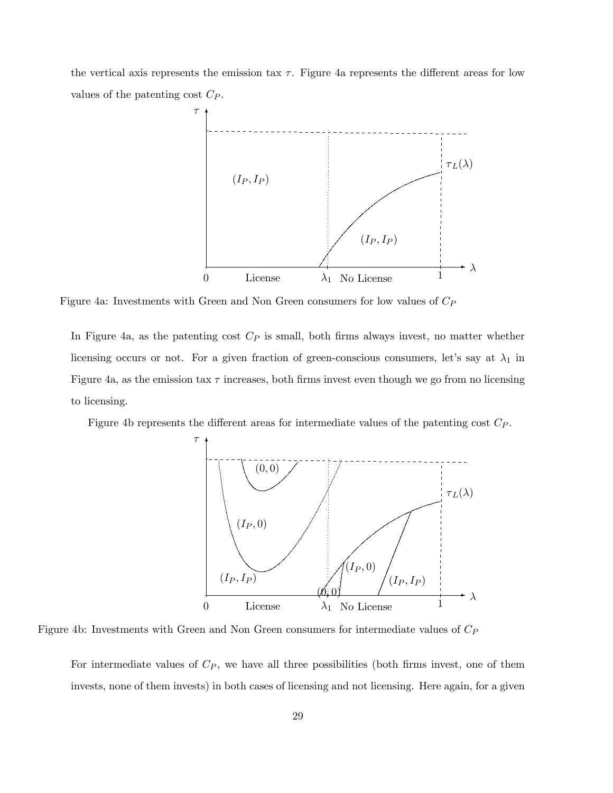the vertical axis represents the emission tax  $\tau$ . Figure 4a represents the different areas for low values of the patenting cost  $C_P$ .



Figure 4a: Investments with Green and Non Green consumers for low values of  $C_P$ 

In Figure 4a, as the patenting cost  $C_P$  is small, both firms always invest, no matter whether licensing occurs or not. For a given fraction of green-conscious consumers, let's say at  $\lambda_1$  in Figure 4a, as the emission tax  $\tau$  increases, both firms invest even though we go from no licensing to licensing.

Figure 4b represents the different areas for intermediate values of the patenting cost  $C_P$ .



Figure 4b: Investments with Green and Non Green consumers for intermediate values of  $C_P$ 

For intermediate values of  $C_P$ , we have all three possibilities (both firms invest, one of them invests, none of them invests) in both cases of licensing and not licensing. Here again, for a given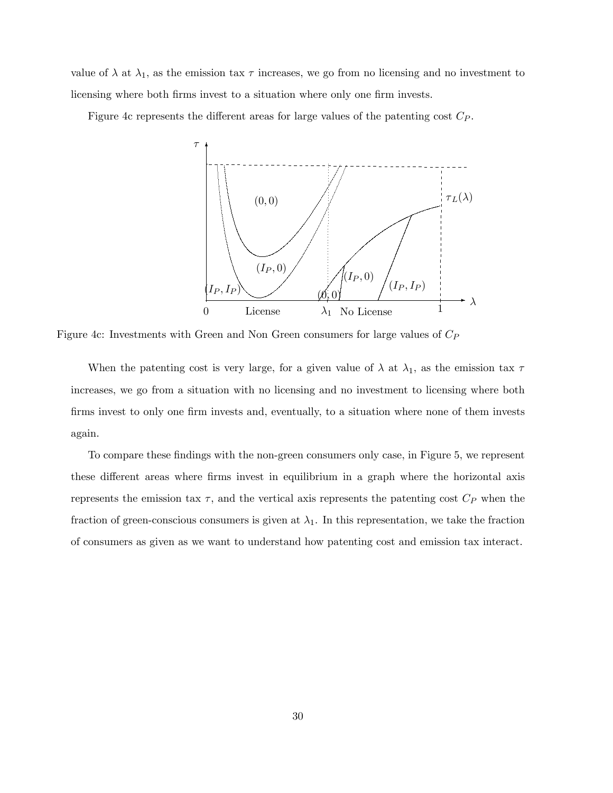value of  $\lambda$  at  $\lambda_1$ , as the emission tax  $\tau$  increases, we go from no licensing and no investment to licensing where both firms invest to a situation where only one firm invests.

Figure 4c represents the different areas for large values of the patenting cost  $C_P$ .



Figure 4c: Investments with Green and Non Green consumers for large values of  $C_P$ 

When the patenting cost is very large, for a given value of  $\lambda$  at  $\lambda_1$ , as the emission tax  $\tau$ increases, we go from a situation with no licensing and no investment to licensing where both firms invest to only one firm invests and, eventually, to a situation where none of them invests again.

To compare these findings with the non-green consumers only case, in Figure 5, we represent these different areas where firms invest in equilibrium in a graph where the horizontal axis represents the emission tax  $\tau$ , and the vertical axis represents the patenting cost  $C_P$  when the fraction of green-conscious consumers is given at  $\lambda_1$ . In this representation, we take the fraction of consumers as given as we want to understand how patenting cost and emission tax interact.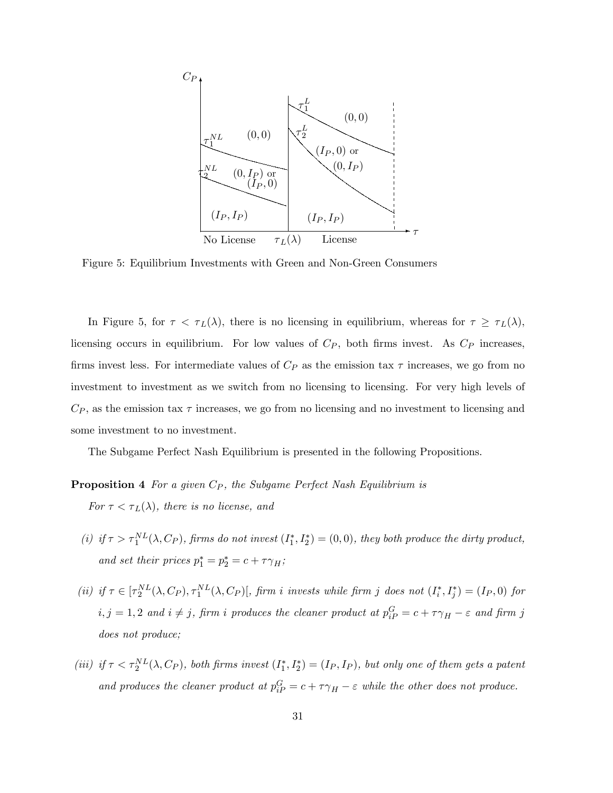

Figure 5: Equilibrium Investments with Green and Non-Green Consumers

In Figure 5, for  $\tau < \tau_L(\lambda)$ , there is no licensing in equilibrium, whereas for  $\tau \geq \tau_L(\lambda)$ , licensing occurs in equilibrium. For low values of  $C_P$ , both firms invest. As  $C_P$  increases, firms invest less. For intermediate values of  $C_P$  as the emission tax  $\tau$  increases, we go from no investment to investment as we switch from no licensing to licensing. For very high levels of  $C_P$ , as the emission tax  $\tau$  increases, we go from no licensing and no investment to licensing and some investment to no investment.

The Subgame Perfect Nash Equilibrium is presented in the following Propositions.

#### **Proposition 4** For a given  $C_P$ , the Subgame Perfect Nash Equilibrium is

For  $\tau < \tau_L(\lambda)$ , there is no license, and

- (i) if  $\tau > \tau_1^{NL}(\lambda, C_P)$ , firms do not invest  $(I_1^*, I_2^*) = (0,0)$ , they both produce the dirty product, and set their prices  $p_1^* = p_2^* = c + \tau \gamma_H$ ;
- (ii) if  $\tau \in [\tau_2^{NL}(\lambda, C_P), \tau_1^{NL}(\lambda, C_P)]$ , firm i invests while firm j does not  $(I_i^*, I_j^*) = (I_P, 0)$  for  $i, j = 1, 2$  and  $i \neq j$ , firm i produces the cleaner product at  $p_{iP}^G = c + \tau \gamma_H - \varepsilon$  and firm j does not produce;
- (iii) if  $\tau < \tau_2^{NL}(\lambda, C_P)$ , both firms invest  $(I_1^*, I_2^*) = (I_P, I_P)$ , but only one of them gets a patent and produces the cleaner product at  $p_{iP}^G = c + \tau \gamma_H - \varepsilon$  while the other does not produce.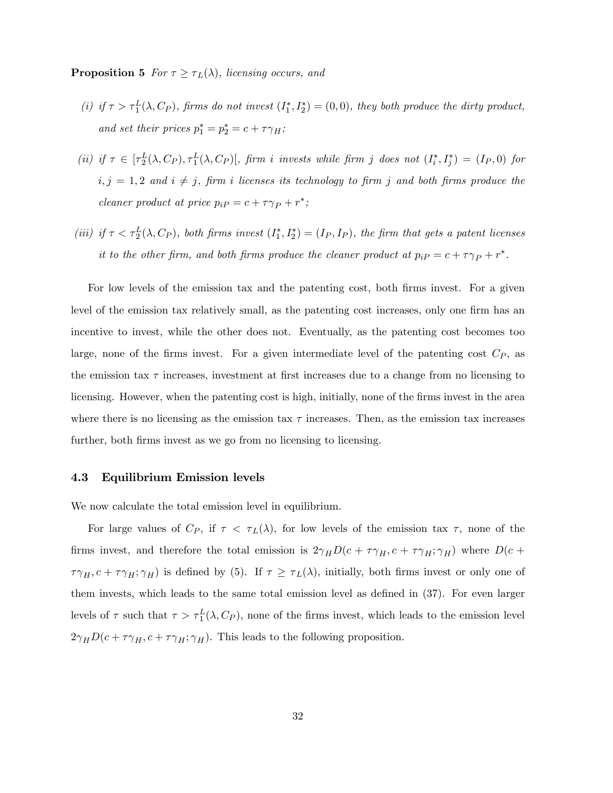**Proposition 5** For  $\tau \geq \tau_L(\lambda)$ , licensing occurs, and

- (i) if  $\tau > \tau_1^L(\lambda, C_P)$ , firms do not invest  $(I_1^*, I_2^*) = (0,0)$ , they both produce the dirty product, and set their prices  $p_1^* = p_2^* = c + \tau \gamma_H$ ;
- (ii) if  $\tau \in [\tau_2^L(\lambda, C_P), \tau_1^L(\lambda, C_P)]$ , firm i invests while firm j does not  $(I_i^*, I_j^*) = (I_P, 0)$  for  $i, j = 1, 2$  and  $i \neq j$ , firm i licenses its technology to firm j and both firms produce the cleaner product at price  $p_i P = c + \tau \gamma_P + r^*$ ;
- (iii) if  $\tau < \tau_2^L(\lambda, C_P)$ , both firms invest  $(I_1^*, I_2^*) = (I_P, I_P)$ , the firm that gets a patent licenses it to the other firm, and both firms produce the cleaner product at  $p_iP = c + \tau \gamma_P + r^*$ .

For low levels of the emission tax and the patenting cost, both firms invest. For a given level of the emission tax relatively small, as the patenting cost increases, only one firm has an incentive to invest, while the other does not. Eventually, as the patenting cost becomes too large, none of the firms invest. For a given intermediate level of the patenting cost  $C_P$ , as the emission tax  $\tau$  increases, investment at first increases due to a change from no licensing to licensing. However, when the patenting cost is high, initially, none of the firms invest in the area where there is no licensing as the emission tax  $\tau$  increases. Then, as the emission tax increases further, both firms invest as we go from no licensing to licensing.

#### 4.3 Equilibrium Emission levels

We now calculate the total emission level in equilibrium.

For large values of  $C_P$ , if  $\tau < \tau_L(\lambda)$ , for low levels of the emission tax  $\tau$ , none of the firms invest, and therefore the total emission is  $2\gamma_H D(c + \tau \gamma_H, c + \tau \gamma_H; \gamma_H)$  where  $D(c +$  $\tau\gamma_H, c + \tau\gamma_H, \gamma_H$  is defined by (5). If  $\tau \geq \tau_L(\lambda)$ , initially, both firms invest or only one of them invests, which leads to the same total emission level as defined in  $(37)$ . For even larger levels of  $\tau$  such that  $\tau > \tau_1^L(\lambda, C_P)$ , none of the firms invest, which leads to the emission level  $2\gamma_H D(c + \tau \gamma_H, c + \tau \gamma_H; \gamma_H)$ . This leads to the following proposition.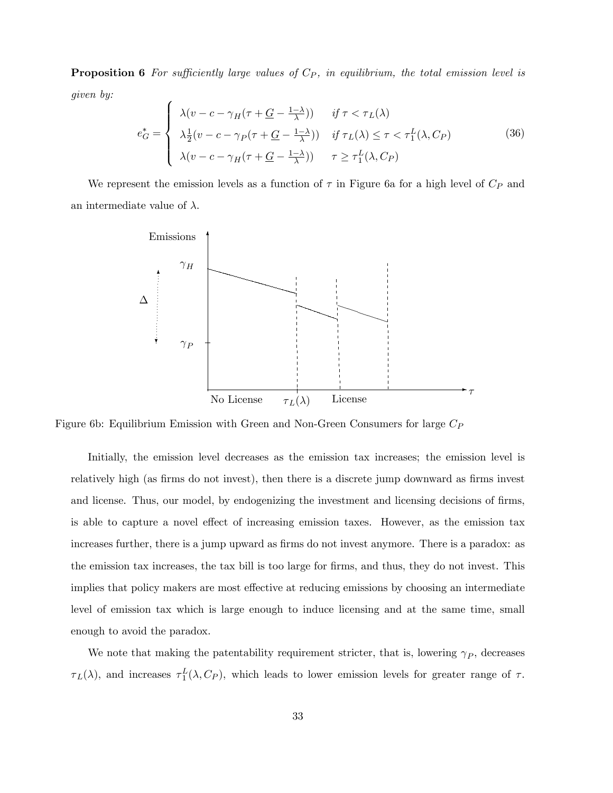**Proposition 6** For sufficiently large values of  $C_P$ , in equilibrium, the total emission level is given by:

$$
e_G^* = \begin{cases} \lambda(v - c - \gamma_H(\tau + \underline{G} - \frac{1-\lambda}{\lambda})) & \text{if } \tau < \tau_L(\lambda) \\ \lambda \frac{1}{2}(v - c - \gamma_P(\tau + \underline{G} - \frac{1-\lambda}{\lambda})) & \text{if } \tau_L(\lambda) \le \tau < \tau_1^L(\lambda, C_P) \\ \lambda(v - c - \gamma_H(\tau + \underline{G} - \frac{1-\lambda}{\lambda})) & \tau \ge \tau_1^L(\lambda, C_P) \end{cases} \tag{36}
$$

We represent the emission levels as a function of  $\tau$  in Figure 6a for a high level of  $C_P$  and an intermediate value of  $\lambda$ .



Figure 6b: Equilibrium Emission with Green and Non-Green Consumers for large  $C_P$ 

Initially, the emission level decreases as the emission tax increases; the emission level is relatively high (as firms do not invest), then there is a discrete jump downward as firms invest and license. Thus, our model, by endogenizing the investment and licensing decisions of firms, is able to capture a novel effect of increasing emission taxes. However, as the emission tax increases further, there is a jump upward as firms do not invest anymore. There is a paradox: as the emission tax increases, the tax bill is too large for firms, and thus, they do not invest. This implies that policy makers are most effective at reducing emissions by choosing an intermediate level of emission tax which is large enough to induce licensing and at the same time, small enough to avoid the paradox.

We note that making the patentability requirement stricter, that is, lowering  $\gamma_P$ , decreases  $\tau_L(\lambda)$ , and increases  $\tau_1^L(\lambda, C_P)$ , which leads to lower emission levels for greater range of  $\tau$ .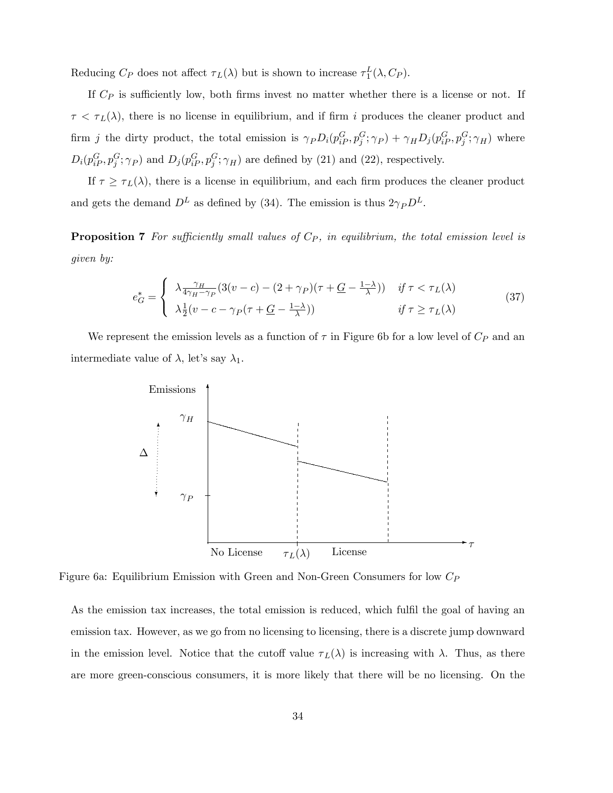Reducing  $C_P$  does not affect  $\tau_L(\lambda)$  but is shown to increase  $\tau_1^L(\lambda, C_P)$ .

If  $C_P$  is sufficiently low, both firms invest no matter whether there is a license or not. If  $\tau < \tau_L(\lambda)$ , there is no license in equilibrium, and if firm i produces the cleaner product and firm *j* the dirty product, the total emission is  $\gamma_P D_i(p_{iP}^G, p_j^G; \gamma_P) + \gamma_H D_j(p_{iP}^G, p_j^G; \gamma_H)$  where  $D_i(p_{iP}^G, p_j^G; \gamma_P)$  and  $D_j(p_{iP}^G, p_j^G; \gamma_H)$  are defined by (21) and (22), respectively.

If  $\tau \geq \tau_L(\lambda)$ , there is a license in equilibrium, and each firm produces the cleaner product and gets the demand  $D^L$  as defined by (34). The emission is thus  $2\gamma_P D^L$ .

**Proposition 7** For sufficiently small values of  $C_P$ , in equilibrium, the total emission level is given by:

$$
e_G^* = \begin{cases} \lambda \frac{\gamma_H}{4\gamma_H - \gamma_P} (3(v - c) - (2 + \gamma_P)(\tau + \underline{G} - \frac{1 - \lambda}{\lambda})) & \text{if } \tau < \tau_L(\lambda) \\ \lambda \frac{1}{2} (v - c - \gamma_P(\tau + \underline{G} - \frac{1 - \lambda}{\lambda})) & \text{if } \tau \ge \tau_L(\lambda) \end{cases}
$$
(37)

We represent the emission levels as a function of  $\tau$  in Figure 6b for a low level of  $C_P$  and an intermediate value of  $\lambda$ , let's say  $\lambda_1$ .



Figure 6a: Equilibrium Emission with Green and Non-Green Consumers for low  $C_P$ 

As the emission tax increases, the total emission is reduced, which fulfil the goal of having an emission tax. However, as we go from no licensing to licensing, there is a discrete jump downward in the emission level. Notice that the cutoff value  $\tau_L(\lambda)$  is increasing with  $\lambda$ . Thus, as there are more green-conscious consumers, it is more likely that there will be no licensing. On the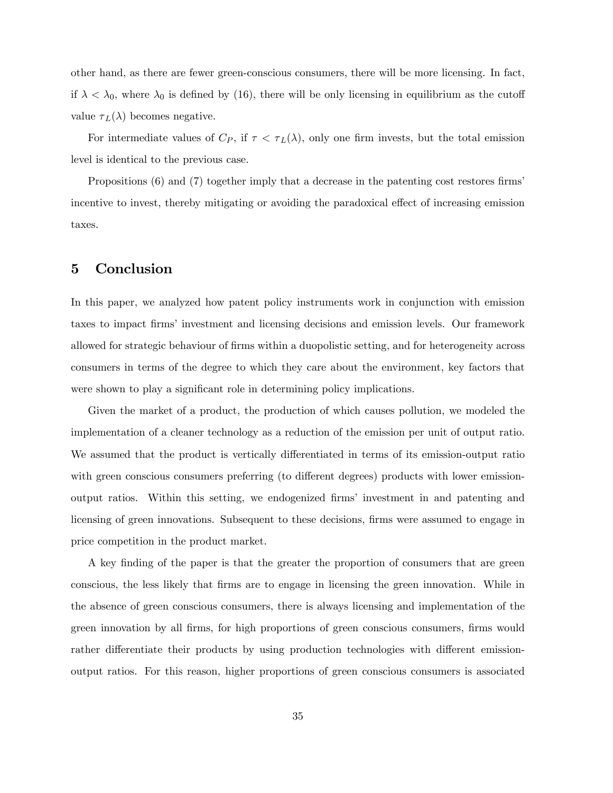other hand, as there are fewer green-conscious consumers, there will be more licensing. In fact, if  $\lambda < \lambda_0$ , where  $\lambda_0$  is defined by (16), there will be only licensing in equilibrium as the cutoff value  $\tau_L(\lambda)$  becomes negative.

For intermediate values of  $C_P$ , if  $\tau < \tau_L(\lambda)$ , only one firm invests, but the total emission level is identical to the previous case.

Propositions  $(6)$  and  $(7)$  together imply that a decrease in the patenting cost restores firms incentive to invest, thereby mitigating or avoiding the paradoxical effect of increasing emission taxes.

## 5 Conclusion

In this paper, we analyzed how patent policy instruments work in conjunction with emission taxes to impact firms' investment and licensing decisions and emission levels. Our framework allowed for strategic behaviour of firms within a duopolistic setting, and for heterogeneity across consumers in terms of the degree to which they care about the environment, key factors that were shown to play a significant role in determining policy implications.

Given the market of a product, the production of which causes pollution, we modeled the implementation of a cleaner technology as a reduction of the emission per unit of output ratio. We assumed that the product is vertically differentiated in terms of its emission-output ratio with green conscious consumers preferring (to different degrees) products with lower emissionoutput ratios. Within this setting, we endogenized Örmsí investment in and patenting and licensing of green innovations. Subsequent to these decisions, firms were assumed to engage in price competition in the product market.

A key Önding of the paper is that the greater the proportion of consumers that are green conscious, the less likely that Örms are to engage in licensing the green innovation. While in the absence of green conscious consumers, there is always licensing and implementation of the green innovation by all firms, for high proportions of green conscious consumers, firms would rather differentiate their products by using production technologies with different emissionoutput ratios. For this reason, higher proportions of green conscious consumers is associated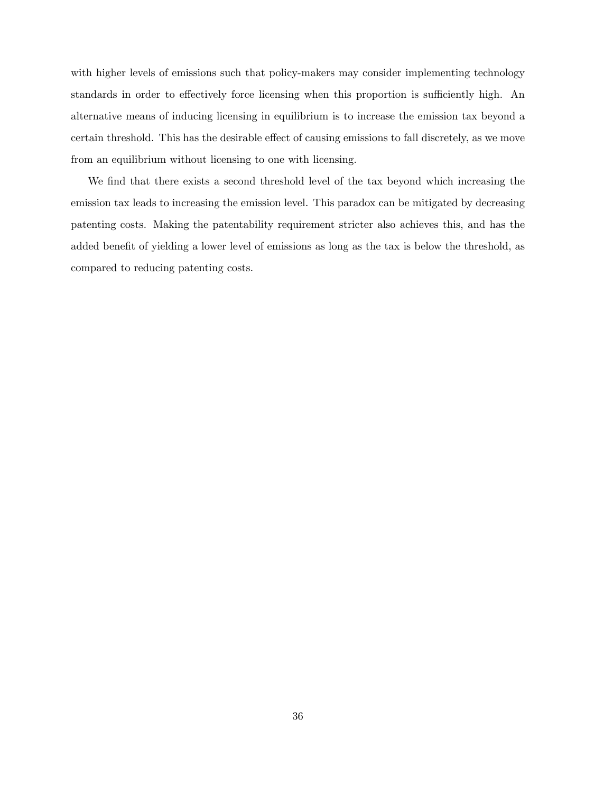with higher levels of emissions such that policy-makers may consider implementing technology standards in order to effectively force licensing when this proportion is sufficiently high. An alternative means of inducing licensing in equilibrium is to increase the emission tax beyond a certain threshold. This has the desirable effect of causing emissions to fall discretely, as we move from an equilibrium without licensing to one with licensing.

We find that there exists a second threshold level of the tax beyond which increasing the emission tax leads to increasing the emission level. This paradox can be mitigated by decreasing patenting costs. Making the patentability requirement stricter also achieves this, and has the added benefit of yielding a lower level of emissions as long as the tax is below the threshold, as compared to reducing patenting costs.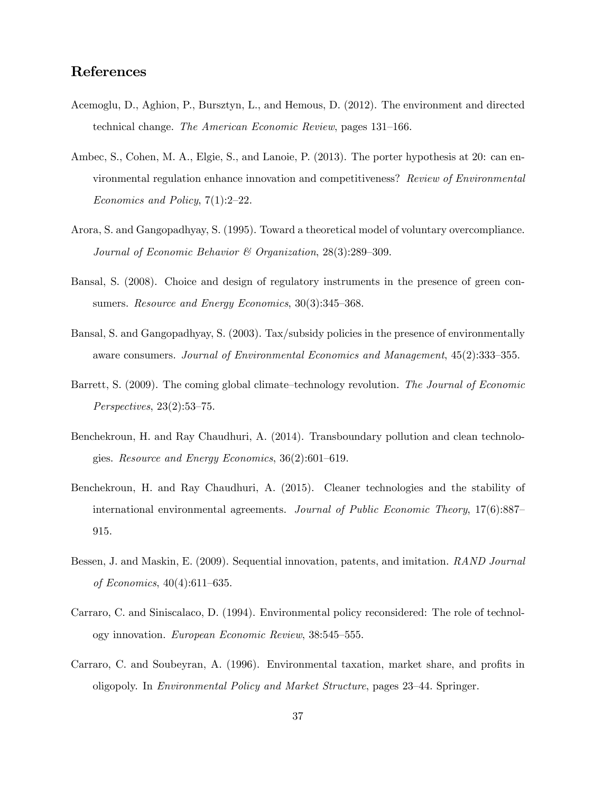# References

- Acemoglu, D., Aghion, P., Bursztyn, L., and Hemous, D. (2012). The environment and directed technical change. The American Economic Review, pages 131–166.
- Ambec, S., Cohen, M. A., Elgie, S., and Lanoie, P. (2013). The porter hypothesis at 20: can environmental regulation enhance innovation and competitiveness? Review of Environmental Economics and Policy,  $7(1):2-22$ .
- Arora, S. and Gangopadhyay, S. (1995). Toward a theoretical model of voluntary overcompliance. Journal of Economic Behavior & Organization,  $28(3):289-309$ .
- Bansal, S. (2008). Choice and design of regulatory instruments in the presence of green consumers. Resource and Energy Economics,  $30(3):345-368$ .
- Bansal, S. and Gangopadhyay, S. (2003). Tax/subsidy policies in the presence of environmentally aware consumers. Journal of Environmental Economics and Management,  $45(2):333-355$ .
- Barrett, S. (2009). The coming global climate–technology revolution. The Journal of Economic Perspectives,  $23(2):53-75$ .
- Benchekroun, H. and Ray Chaudhuri, A. (2014). Transboundary pollution and clean technologies. Resource and Energy Economics,  $36(2):601-619$ .
- Benchekroun, H. and Ray Chaudhuri, A. (2015). Cleaner technologies and the stability of international environmental agreements. Journal of Public Economic Theory,  $17(6)$ :887– 915.
- Bessen, J. and Maskin, E. (2009). Sequential innovation, patents, and imitation. RAND Journal of Economics,  $40(4):611-635$ .
- Carraro, C. and Siniscalaco, D. (1994). Environmental policy reconsidered: The role of technology innovation. European Economic Review, 38:545–555.
- Carraro, C. and Soubeyran, A. (1996). Environmental taxation, market share, and profits in oligopoly. In *Environmental Policy and Market Structure*, pages 23–44. Springer.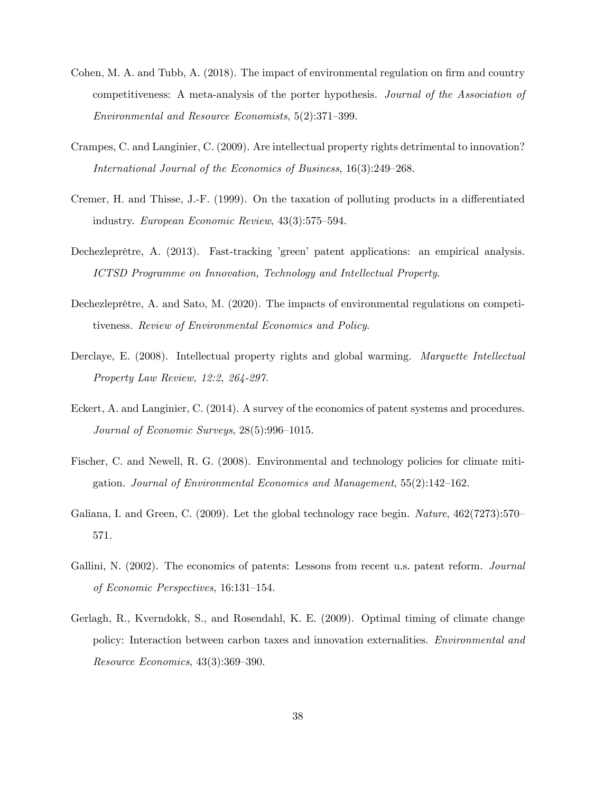- Cohen, M. A. and Tubb, A. (2018). The impact of environmental regulation on firm and country competitiveness: A meta-analysis of the porter hypothesis. Journal of the Association of Environmental and Resource Economists,  $5(2):371-399$ .
- Crampes, C. and Langinier, C. (2009). Are intellectual property rights detrimental to innovation? International Journal of the Economics of Business,  $16(3):249-268$ .
- Cremer, H. and Thisse, J.-F. (1999). On the taxation of polluting products in a differentiated industry. European Economic Review,  $43(3):575-594$ .
- Dechezleprêtre, A. (2013). Fast-tracking 'green' patent applications: an empirical analysis. ICTSD Programme on Innovation, Technology and Intellectual Property.
- Dechezleprêtre, A. and Sato, M.  $(2020)$ . The impacts of environmental regulations on competitiveness. Review of Environmental Economics and Policy.
- Derclaye, E. (2008). Intellectual property rights and global warming. *Marquette Intellectual* Property Law Review, 12:2, 264-297.
- Eckert, A. and Langinier, C. (2014). A survey of the economics of patent systems and procedures. Journal of Economic Surveys,  $28(5):996-1015$ .
- Fischer, C. and Newell, R. G. (2008). Environmental and technology policies for climate mitigation. Journal of Environmental Economics and Management,  $55(2):142-162$ .
- Galiana, I. and Green, C.  $(2009)$ . Let the global technology race begin. *Nature*,  $462(7273):570$ 571.
- Gallini, N. (2002). The economics of patents: Lessons from recent u.s. patent reform. *Journal* of Economic Perspectives, 16:131-154.
- Gerlagh, R., Kverndokk, S., and Rosendahl, K. E. (2009). Optimal timing of climate change policy: Interaction between carbon taxes and innovation externalities. Environmental and  $Resource\ Economics, 43(3):369-390.$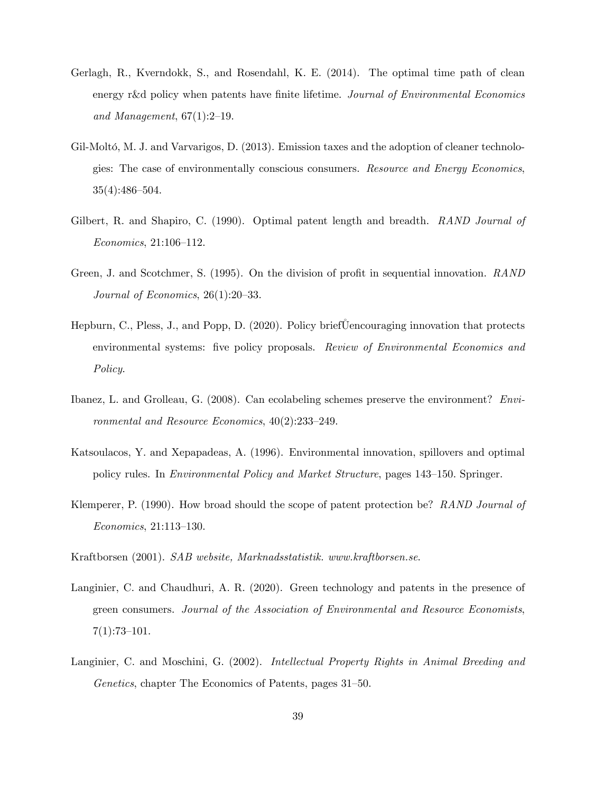- Gerlagh, R., Kverndokk, S., and Rosendahl, K. E. (2014). The optimal time path of clean energy r&d policy when patents have finite lifetime. Journal of Environmental Economics and Management,  $67(1):2-19$ .
- Gil-Moltó, M. J. and Varvarigos, D. (2013). Emission taxes and the adoption of cleaner technologies: The case of environmentally conscious consumers. Resource and Energy Economics,  $35(4):486-504.$
- Gilbert, R. and Shapiro, C. (1990). Optimal patent length and breadth. RAND Journal of  $Economics, 21:106–112.$
- Green, J. and Scotchmer, S. (1995). On the division of profit in sequential innovation. RAND Journal of Economics,  $26(1):20-33$ .
- Hepburn, C., Pless, J., and Popp, D. (2020). Policy brief Uencouraging innovation that protects environmental systems: five policy proposals. Review of Environmental Economics and Policy.
- Ibanez, L. and Grolleau, G. (2008). Can ecolabeling schemes preserve the environment? Environmental and Resource Economics,  $40(2):233-249$ .
- Katsoulacos, Y. and Xepapadeas, A. (1996). Environmental innovation, spillovers and optimal policy rules. In *Environmental Policy and Market Structure*, pages 143–150. Springer.
- Klemperer, P. (1990). How broad should the scope of patent protection be? RAND Journal of  $Economics, 21:113–130.$
- Kraftborsen (2001). SAB website, Marknadsstatistik. www.kraftborsen.se.
- Langinier, C. and Chaudhuri, A. R. (2020). Green technology and patents in the presence of green consumers. Journal of the Association of Environmental and Resource Economists,  $7(1):73-101.$
- Langinier, C. and Moschini, G. (2002). Intellectual Property Rights in Animal Breeding and Genetics, chapter The Economics of Patents, pages  $31-50$ .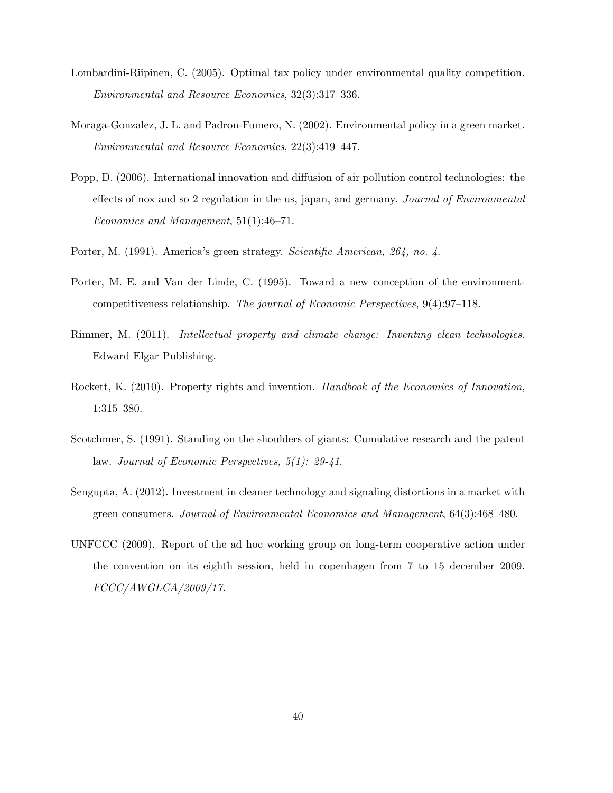- Lombardini-Riipinen, C. (2005). Optimal tax policy under environmental quality competition.  $Environmental$  and Resource Economics,  $32(3):317-336$ .
- Moraga-Gonzalez, J. L. and Padron-Fumero, N. (2002). Environmental policy in a green market. Environmental and Resource Economics,  $22(3):419-447$ .
- Popp, D. (2006). International innovation and diffusion of air pollution control technologies: the effects of nox and so 2 regulation in the us, japan, and germany. Journal of Environmental Economics and Management,  $51(1):46-71$ .
- Porter, M. (1991). America's green strategy. Scientific American, 264, no. 4.
- Porter, M. E. and Van der Linde, C. (1995). Toward a new conception of the environmentcompetitiveness relationship. The journal of Economic Perspectives,  $9(4):97-118$ .
- Rimmer, M. (2011). Intellectual property and climate change: Inventing clean technologies. Edward Elgar Publishing.
- Rockett, K. (2010). Property rights and invention. Handbook of the Economics of Innovation, 1:315–380.
- Scotchmer, S. (1991). Standing on the shoulders of giants: Cumulative research and the patent law. Journal of Economic Perspectives, 5(1): 29-41.
- Sengupta, A. (2012). Investment in cleaner technology and signaling distortions in a market with green consumers. Journal of Environmental Economics and Management, 64(3):468–480.
- UNFCCC (2009). Report of the ad hoc working group on long-term cooperative action under the convention on its eighth session, held in copenhagen from 7 to 15 december 2009. FCCC/AWGLCA/2009/17.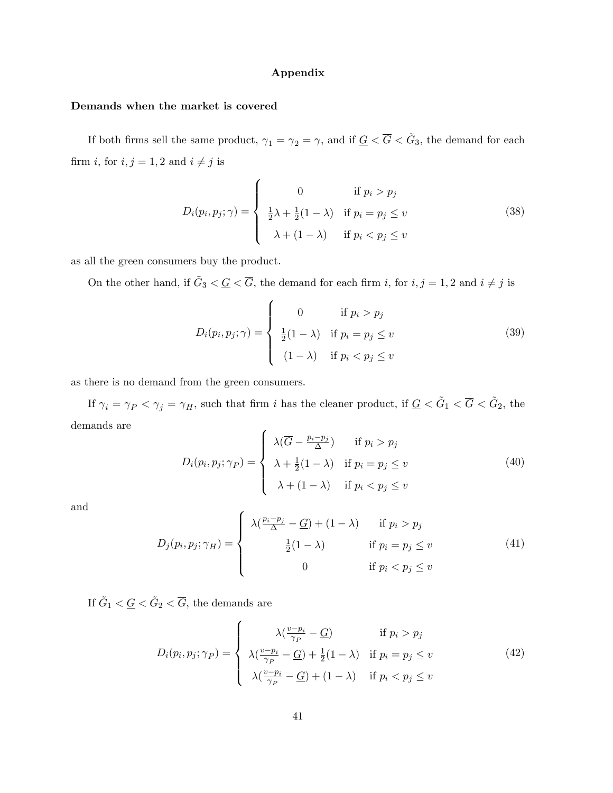#### Appendix

#### Demands when the market is covered

If both firms sell the same product,  $\gamma_1 = \gamma_2 = \gamma$ , and if  $\underline{G} < \overline{G} < \tilde{G}_3$ , the demand for each firm  $i,$  for  $i,j=1,2$  and  $i\neq j$  is

$$
D_i(p_i, p_j; \gamma) = \begin{cases} 0 & \text{if } p_i > p_j \\ \frac{1}{2}\lambda + \frac{1}{2}(1-\lambda) & \text{if } p_i = p_j \le v \\ \lambda + (1-\lambda) & \text{if } p_i < p_j \le v \end{cases}
$$
 (38)

as all the green consumers buy the product.

On the other hand, if  $\tilde{G}_3 < \underline{G} < \overline{G}$ , the demand for each firm i, for  $i, j = 1, 2$  and  $i \neq j$  is

$$
D_i(p_i, p_j; \gamma) = \begin{cases} 0 & \text{if } p_i > p_j \\ \frac{1}{2}(1-\lambda) & \text{if } p_i = p_j \le v \\ (1-\lambda) & \text{if } p_i < p_j \le v \end{cases}
$$
 (39)

as there is no demand from the green consumers.

If  $\gamma_i = \gamma_P < \gamma_j = \gamma_H$ , such that firm i has the cleaner product, if  $\underline{G} < \tilde{G}_1 < \overline{G} < \tilde{G}_2$ , the demands are

$$
D_i(p_i, p_j; \gamma_P) = \begin{cases} \lambda(\overline{G} - \frac{p_i - p_j}{\Delta}) & \text{if } p_i > p_j \\ \lambda + \frac{1}{2}(1 - \lambda) & \text{if } p_i = p_j \le v \\ \lambda + (1 - \lambda) & \text{if } p_i < p_j \le v \end{cases}
$$
(40)

and

$$
D_j(p_i, p_j; \gamma_H) = \begin{cases} \lambda(\frac{p_i - p_j}{\Delta} - \underline{G}) + (1 - \lambda) & \text{if } p_i > p_j \\ \frac{1}{2}(1 - \lambda) & \text{if } p_i = p_j \le v \\ 0 & \text{if } p_i < p_j \le v \end{cases}
$$
(41)

If  $\tilde{G}_1 < \underline{G} < \tilde{G}_2 < \overline{G}$ , the demands are

$$
D_i(p_i, p_j; \gamma_P) = \begin{cases} \lambda(\frac{v - p_i}{\gamma_P} - \underline{G}) & \text{if } p_i > p_j \\ \lambda(\frac{v - p_i}{\gamma_P} - \underline{G}) + \frac{1}{2}(1 - \lambda) & \text{if } p_i = p_j \le v \\ \lambda(\frac{v - p_i}{\gamma_P} - \underline{G}) + (1 - \lambda) & \text{if } p_i < p_j \le v \end{cases}
$$
(42)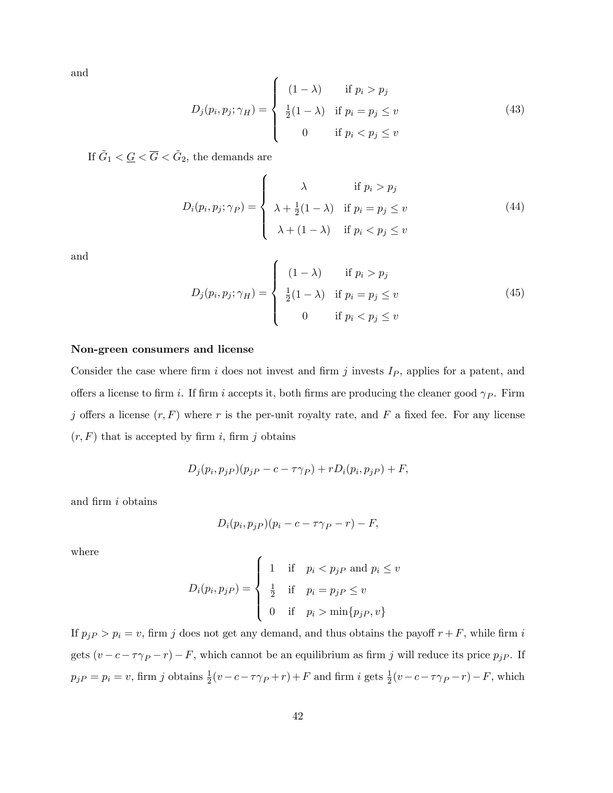and

$$
D_j(p_i, p_j; \gamma_H) = \begin{cases} (1 - \lambda) & \text{if } p_i > p_j \\ \frac{1}{2}(1 - \lambda) & \text{if } p_i = p_j \le v \\ 0 & \text{if } p_i < p_j \le v \end{cases}
$$
 (43)

If  $\tilde{G}_1 < \underline{G} < \overline{G} < \tilde{G}_2$ , the demands are

$$
D_i(p_i, p_j; \gamma_P) = \begin{cases} \lambda & \text{if } p_i > p_j \\ \lambda + \frac{1}{2}(1 - \lambda) & \text{if } p_i = p_j \le v \\ \lambda + (1 - \lambda) & \text{if } p_i < p_j \le v \end{cases}
$$
 (44)

and

$$
D_j(p_i, p_j; \gamma_H) = \begin{cases} (1 - \lambda) & \text{if } p_i > p_j \\ \frac{1}{2}(1 - \lambda) & \text{if } p_i = p_j \le v \\ 0 & \text{if } p_i < p_j \le v \end{cases}
$$
 (45)

#### Non-green consumers and license

Consider the case where firm i does not invest and firm j invests  $I_P$ , applies for a patent, and offers a license to firm i. If firm i accepts it, both firms are producing the cleaner good  $\gamma_P$ . Firm j offers a license  $(r, F)$  where r is the per-unit royalty rate, and F a fixed fee. For any license  $(r, F)$  that is accepted by firm i, firm j obtains

$$
D_j(p_i, p_j) (p_j - c - \tau \gamma_P) + r D_i(p_i, p_j) + F,
$$

and firm  $i$  obtains

$$
D_i(p_i, p_j) (p_i - c - \tau \gamma_P - r) - F,
$$

where

$$
D_i(p_i, p_j) = \begin{cases} 1 & \text{if } p_i < p_j \text{ and } p_i \le v \\ \frac{1}{2} & \text{if } p_i = p_j \text{ and } p_i \le v \\ 0 & \text{if } p_i > \min\{p_j \text{ and } p_i \le v \end{cases}
$$

If  $p_{jP} > p_i = v$ , firm j does not get any demand, and thus obtains the payoff  $r + F$ , while firm i gets  $(v - c - \tau \gamma_P - r) - F$ , which cannot be an equilibrium as firm j will reduce its price  $p_{jP}$ . If  $p_j P = p_i = v$ , firm j obtains  $\frac{1}{2}(v - c - \tau \gamma_P + r) + F$  and firm i gets  $\frac{1}{2}(v - c - \tau \gamma_P - r) - F$ , which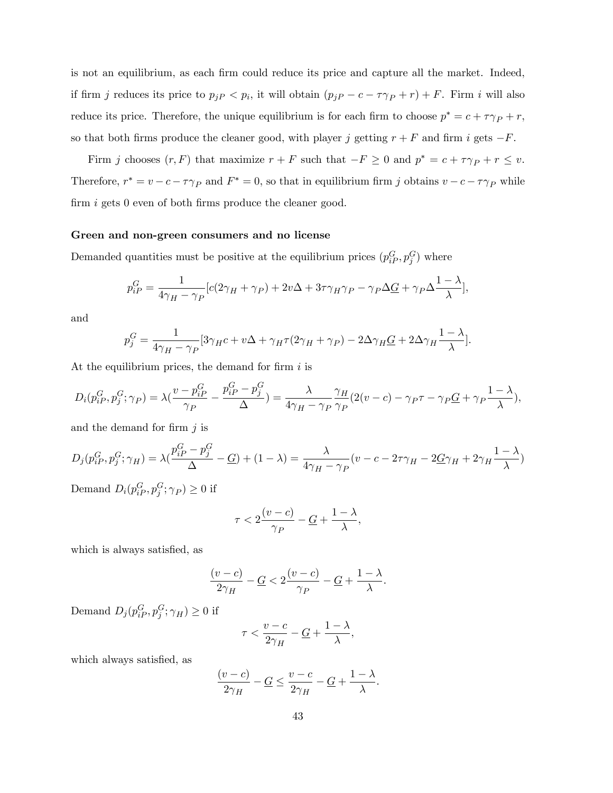is not an equilibrium, as each firm could reduce its price and capture all the market. Indeed, if firm j reduces its price to  $p_{jP} < p_i$ , it will obtain  $(p_{jP} - c - \tau \gamma_P + r) + F$ . Firm i will also reduce its price. Therefore, the unique equilibrium is for each firm to choose  $p^* = c + \tau \gamma_P + r$ , so that both firms produce the cleaner good, with player j getting  $r + F$  and firm i gets  $-F$ .

Firm j chooses  $(r, F)$  that maximize  $r + F$  such that  $-F \geq 0$  and  $p^* = c + \tau \gamma_P + r \leq v$ . Therefore,  $r^* = v - c - \tau \gamma_P$  and  $F^* = 0$ , so that in equilibrium firm j obtains  $v - c - \tau \gamma_P$  while firm  $i$  gets 0 even of both firms produce the cleaner good.

#### Green and non-green consumers and no license

Demanded quantities must be positive at the equilibrium prices  $(p_{iP}^G, p_j^G)$  where

$$
p_{iP}^G = \frac{1}{4\gamma_H - \gamma_P} [c(2\gamma_H + \gamma_P) + 2v\Delta + 3\tau\gamma_H\gamma_P - \gamma_P\Delta\underline{G} + \gamma_P\Delta\frac{1-\lambda}{\lambda}],
$$

and

$$
p_j^G = \frac{1}{4\gamma_H - \gamma_P} [3\gamma_H c + v\Delta + \gamma_H \tau (2\gamma_H + \gamma_P) - 2\Delta \gamma_H \underline{G} + 2\Delta \gamma_H \frac{1 - \lambda}{\lambda}].
$$

At the equilibrium prices, the demand for firm  $i$  is

$$
D_i(p_{iP}^G, p_j^G; \gamma_P) = \lambda \left(\frac{v - p_{iP}^G}{\gamma_P} - \frac{p_{iP}^G - p_j^G}{\Delta}\right) = \frac{\lambda}{4\gamma_H - \gamma_P} \frac{\gamma_H}{\gamma_P} (2(v - c) - \gamma_P \tau - \gamma_P \underline{G} + \gamma_P \frac{1 - \lambda}{\lambda}),
$$

and the demand for firm  $j$  is

$$
D_j(p_{iP}^G, p_j^G; \gamma_H) = \lambda \left(\frac{p_{iP}^G - p_j^G}{\Delta} - \underline{G}\right) + (1 - \lambda) = \frac{\lambda}{4\gamma_H - \gamma_P} \left(v - c - 2\tau\gamma_H - 2\underline{G}\gamma_H + 2\gamma_H \frac{1 - \lambda}{\lambda}\right)
$$

Demand  $D_i(p_{iP}^G, p_j^G; \gamma_P) \ge 0$  if

$$
\tau < 2\frac{(v-c)}{\gamma_P} - \underline{G} + \frac{1-\lambda}{\lambda},
$$

which is always satisfied, as

$$
\frac{(v-c)}{2\gamma_H}-\underline{G}<2\frac{(v-c)}{\gamma_P}-\underline{G}+\frac{1-\lambda}{\lambda}.
$$

Demand  $D_j(p_{iP}^G, p_j^G; \gamma_H) \ge 0$  if

$$
\tau < \frac{v-c}{2\gamma_H} - \underline{G} + \frac{1-\lambda}{\lambda},
$$

which always satisfied, as

$$
\frac{(v-c)}{2\gamma_H} - \underline{G} \le \frac{v-c}{2\gamma_H} - \underline{G} + \frac{1-\lambda}{\lambda}.
$$